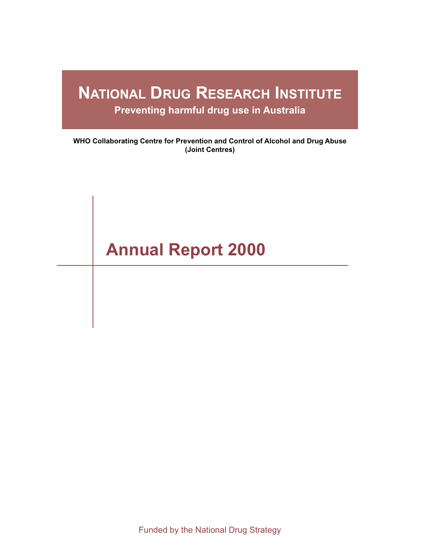# **NATIONAL DRUG RESEARCH INSTITUTE**

**Preventing harmful drug use in Australia**

**WHO Collaborating Centre for Prevention and Control of Alcohol and Drug Abuse (Joint Centres)**

# **Annual Report 2000**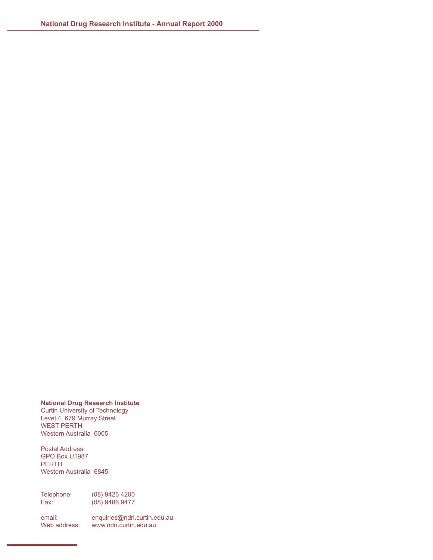### **National Drug Research Institute**

Curtin University of Technology Level 4, 679 Murray Street WEST PERTH Western Australia 6005

Postal Address: GPO Box U1987 PERTH Western Australia 6845

Telephone: (08) 9426 4200<br>Fax: (08) 9486 9477 (08) 9486 9477

email: [enquiries@ndri.curtin.edu.au](mailto:enquires@ndri.curtin.edu.au)<br>Web address: www.ndri.curtin.edu.au www.ndri.curtin.edu.au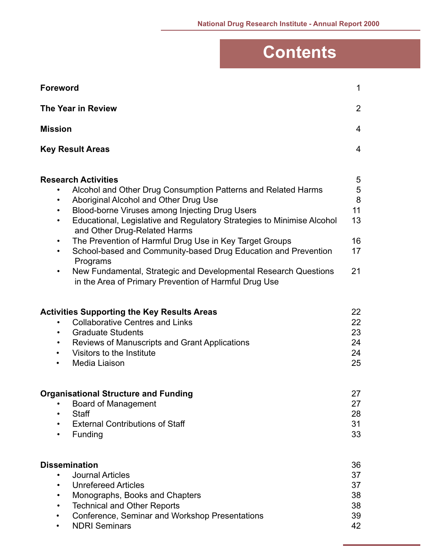# **Contents**

| <b>Foreword</b>                                                                                                                                                                                                                                                                                                                                                                                                                                                                                                                                                                                                                        | $\mathbf{1}$                              |
|----------------------------------------------------------------------------------------------------------------------------------------------------------------------------------------------------------------------------------------------------------------------------------------------------------------------------------------------------------------------------------------------------------------------------------------------------------------------------------------------------------------------------------------------------------------------------------------------------------------------------------------|-------------------------------------------|
| <b>The Year in Review</b>                                                                                                                                                                                                                                                                                                                                                                                                                                                                                                                                                                                                              | $\overline{2}$                            |
| <b>Mission</b>                                                                                                                                                                                                                                                                                                                                                                                                                                                                                                                                                                                                                         | $\overline{4}$                            |
| <b>Key Result Areas</b>                                                                                                                                                                                                                                                                                                                                                                                                                                                                                                                                                                                                                | 4                                         |
| <b>Research Activities</b><br>Alcohol and Other Drug Consumption Patterns and Related Harms<br>Aboriginal Alcohol and Other Drug Use<br>Blood-borne Viruses among Injecting Drug Users<br>$\bullet$<br>Educational, Legislative and Regulatory Strategies to Minimise Alcohol<br>$\bullet$<br>and Other Drug-Related Harms<br>The Prevention of Harmful Drug Use in Key Target Groups<br>$\bullet$<br>School-based and Community-based Drug Education and Prevention<br>$\bullet$<br>Programs<br>New Fundamental, Strategic and Developmental Research Questions<br>$\bullet$<br>in the Area of Primary Prevention of Harmful Drug Use | 5<br>5<br>8<br>11<br>13<br>16<br>17<br>21 |
| <b>Activities Supporting the Key Results Areas</b><br><b>Collaborative Centres and Links</b><br>$\bullet$<br><b>Graduate Students</b><br>$\bullet$<br><b>Reviews of Manuscripts and Grant Applications</b><br>$\bullet$<br>Visitors to the Institute<br>$\bullet$<br>Media Liaison<br>٠                                                                                                                                                                                                                                                                                                                                                | 22<br>22<br>23<br>24<br>24<br>25          |
| <b>Organisational Structure and Funding</b><br><b>Board of Management</b><br><b>Staff</b><br><b>External Contributions of Staff</b><br>Funding<br>$\bullet$                                                                                                                                                                                                                                                                                                                                                                                                                                                                            | 27<br>27<br>28<br>31<br>33                |
| <b>Dissemination</b><br><b>Journal Articles</b><br>$\bullet$<br><b>Unrefereed Articles</b><br>$\bullet$<br>Monographs, Books and Chapters<br><b>Technical and Other Reports</b><br>Conference, Seminar and Workshop Presentations<br><b>NDRI Seminars</b><br>٠                                                                                                                                                                                                                                                                                                                                                                         | 36<br>37<br>37<br>38<br>38<br>39<br>42    |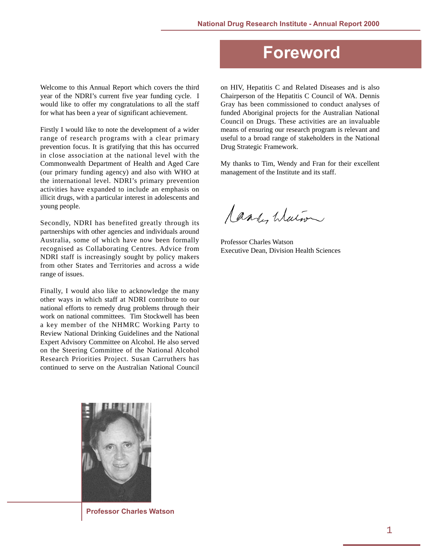### <span id="page-4-0"></span>Welcome to this Annual Report which covers the third year of the NDRI's current five year funding cycle. I would like to offer my congratulations to all the staff for what has been a year of significant achievement.

Firstly I would like to note the development of a wider range of research programs with a clear primary prevention focus. It is gratifying that this has occurred in close association at the national level with the Commonwealth Department of Health and Aged Care (our primary funding agency) and also with WHO at the international level. NDRI's primary prevention activities have expanded to include an emphasis on illicit drugs, with a particular interest in adolescents and young people.

Secondly, NDRI has benefited greatly through its partnerships with other agencies and individuals around Australia, some of which have now been formally recognised as Collaborating Centres. Advice from NDRI staff is increasingly sought by policy makers from other States and Territories and across a wide range of issues.

Finally, I would also like to acknowledge the many other ways in which staff at NDRI contribute to our national efforts to remedy drug problems through their work on national committees. Tim Stockwell has been a key member of the NHMRC Working Party to Review National Drinking Guidelines and the National Expert Advisory Committee on Alcohol. He also served on the Steering Committee of the National Alcohol Research Priorities Project. Susan Carruthers has continued to serve on the Australian National Council



**Professor Charles Watson**

# **Foreword**

on HIV, Hepatitis C and Related Diseases and is also Chairperson of the Hepatitis C Council of WA. Dennis Gray has been commissioned to conduct analyses of funded Aboriginal projects for the Australian National Council on Drugs. These activities are an invaluable means of ensuring our research program is relevant and useful to a broad range of stakeholders in the National Drug Strategic Framework.

My thanks to Tim, Wendy and Fran for their excellent management of the Institute and its staff.

Candy Walne

Professor Charles Watson Executive Dean, Division Health Sciences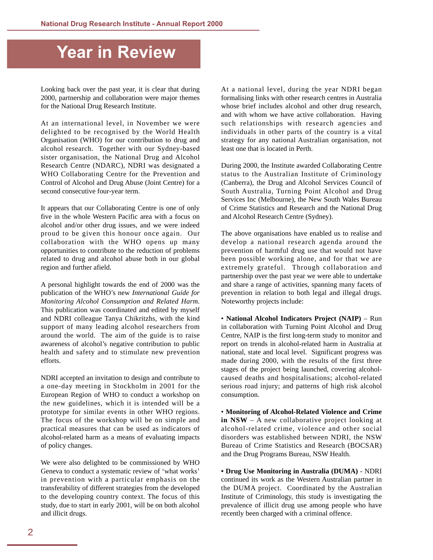# <span id="page-5-0"></span>**Year in Review**

Looking back over the past year, it is clear that during 2000, partnership and collaboration were major themes for the National Drug Research Institute.

At an international level, in November we were delighted to be recognised by the World Health Organisation (WHO) for our contribution to drug and alcohol research. Together with our Sydney-based sister organisation, the National Drug and Alcohol Research Centre (NDARC), NDRI was designated a WHO Collaborating Centre for the Prevention and Control of Alcohol and Drug Abuse (Joint Centre) for a second consecutive four-year term.

It appears that our Collaborating Centre is one of only five in the whole Western Pacific area with a focus on alcohol and/or other drug issues, and we were indeed proud to be given this honour once again. Our collaboration with the WHO opens up many opportunities to contribute to the reduction of problems related to drug and alcohol abuse both in our global region and further afield.

A personal highlight towards the end of 2000 was the publication of the WHO's new *International Guide for Monitoring Alcohol Consumption and Related Harm*. This publication was coordinated and edited by myself and NDRI colleague Tanya Chikritzhs, with the kind support of many leading alcohol researchers from around the world. The aim of the guide is to raise awareness of alcohol's negative contribution to public health and safety and to stimulate new prevention efforts.

NDRI accepted an invitation to design and contribute to a one-day meeting in Stockholm in 2001 for the European Region of WHO to conduct a workshop on the new guidelines, which it is intended will be a prototype for similar events in other WHO regions. The focus of the workshop will be on simple and practical measures that can be used as indicators of alcohol-related harm as a means of evaluating impacts of policy changes.

We were also delighted to be commissioned by WHO Geneva to conduct a systematic review of 'what works' in prevention with a particular emphasis on the transferability of different strategies from the developed to the developing country context. The focus of this study, due to start in early 2001, will be on both alcohol and illicit drugs.

At a national level, during the year NDRI began formalising links with other research centres in Australia whose brief includes alcohol and other drug research, and with whom we have active collaboration. Having such relationships with research agencies and individuals in other parts of the country is a vital strategy for any national Australian organisation, not least one that is located in Perth.

During 2000, the Institute awarded Collaborating Centre status to the Australian Institute of Criminology (Canberra), the Drug and Alcohol Services Council of South Australia, Turning Point Alcohol and Drug Services Inc (Melbourne), the New South Wales Bureau of Crime Statistics and Research and the National Drug and Alcohol Research Centre (Sydney).

The above organisations have enabled us to realise and develop a national research agenda around the prevention of harmful drug use that would not have been possible working alone, and for that we are extremely grateful. Through collaboration and partnership over the past year we were able to undertake and share a range of activities, spanning many facets of prevention in relation to both legal and illegal drugs. Noteworthy projects include:

• **National Alcohol Indicators Project (NAIP)** – Run in collaboration with Turning Point Alcohol and Drug Centre, NAIP is the first long-term study to monitor and report on trends in alcohol-related harm in Australia at national, state and local level. Significant progress was made during 2000, with the results of the first three stages of the project being launched, covering alcoholcaused deaths and hospitalisations; alcohol-related serious road injury; and patterns of high risk alcohol consumption.

• **Monitoring of Alcohol-Related Violence and Crime in NSW** – A new collaborative project looking at alcohol-related crime, violence and other social disorders was established between NDRI, the NSW Bureau of Crime Statistics and Research (BOCSAR) and the Drug Programs Bureau, NSW Health.

**• Drug Use Monitoring in Australia (DUMA)** - NDRI continued its work as the Western Australian partner in the DUMA project. Coordinated by the Australian Institute of Criminology, this study is investigating the prevalence of illicit drug use among people who have recently been charged with a criminal offence.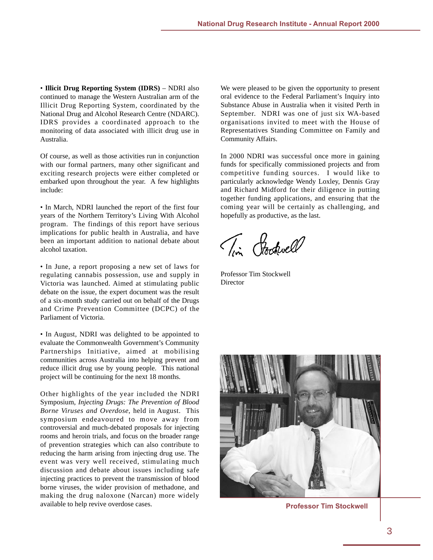• **Illicit Drug Reporting System (IDRS)** – NDRI also continued to manage the Western Australian arm of the Illicit Drug Reporting System, coordinated by the National Drug and Alcohol Research Centre (NDARC). IDRS provides a coordinated approach to the monitoring of data associated with illicit drug use in Australia.

Of course, as well as those activities run in conjunction with our formal partners, many other significant and exciting research projects were either completed or embarked upon throughout the year. A few highlights include:

• In March, NDRI launched the report of the first four years of the Northern Territory's Living With Alcohol program. The findings of this report have serious implications for public health in Australia, and have been an important addition to national debate about alcohol taxation.

• In June, a report proposing a new set of laws for regulating cannabis possession, use and supply in Victoria was launched. Aimed at stimulating public debate on the issue, the expert document was the result of a six-month study carried out on behalf of the Drugs and Crime Prevention Committee (DCPC) of the Parliament of Victoria.

• In August, NDRI was delighted to be appointed to evaluate the Commonwealth Government's Community Partnerships Initiative, aimed at mobilising communities across Australia into helping prevent and reduce illicit drug use by young people. This national project will be continuing for the next 18 months.

Other highlights of the year included the NDRI Symposium, *Injecting Drugs: The Prevention of Blood Borne Viruses and Overdose*, held in August. This symposium endeavoured to move away from controversial and much-debated proposals for injecting rooms and heroin trials, and focus on the broader range of prevention strategies which can also contribute to reducing the harm arising from injecting drug use. The event was very well received, stimulating much discussion and debate about issues including safe injecting practices to prevent the transmission of blood borne viruses, the wider provision of methadone, and making the drug naloxone (Narcan) more widely available to help revive overdose cases. **Professor Tim Stockwell**

We were pleased to be given the opportunity to present oral evidence to the Federal Parliament's Inquiry into Substance Abuse in Australia when it visited Perth in September. NDRI was one of just six WA-based organisations invited to meet with the House of Representatives Standing Committee on Family and Community Affairs.

In 2000 NDRI was successful once more in gaining funds for specifically commissioned projects and from competitive funding sources. I would like to particularly acknowledge Wendy Loxley, Dennis Gray and Richard Midford for their diligence in putting together funding applications, and ensuring that the coming year will be certainly as challenging, and hopefully as productive, as the last.

Tim Pockwell

Professor Tim Stockwell **Director** 

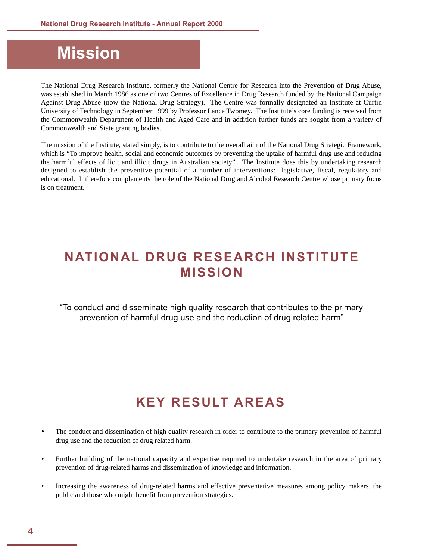# <span id="page-7-1"></span><span id="page-7-0"></span>**Mission**

The National Drug Research Institute, formerly the National Centre for Research into the Prevention of Drug Abuse, was established in March 1986 as one of two Centres of Excellence in Drug Research funded by the National Campaign Against Drug Abuse (now the National Drug Strategy). The Centre was formally designated an Institute at Curtin University of Technology in September 1999 by Professor Lance Twomey. The Institute's core funding is received from the Commonwealth Department of Health and Aged Care and in addition further funds are sought from a variety of Commonwealth and State granting bodies.

The mission of the Institute, stated simply, is to contribute to the overall aim of the National Drug Strategic Framework, which is "To improve health, social and economic outcomes by preventing the uptake of harmful drug use and reducing the harmful effects of licit and illicit drugs in Australian society". The Institute does this by undertaking research designed to establish the preventive potential of a number of interventions: legislative, fiscal, regulatory and educational. It therefore complements the role of the National Drug and Alcohol Research Centre whose primary focus is on treatment.

# **NATIONAL DRUG RESEARCH INSTITUTE MISSION**

"To conduct and disseminate high quality research that contributes to the primary prevention of harmful drug use and the reduction of drug related harm"

# **KEY RESULT AREAS**

- The conduct and dissemination of high quality research in order to contribute to the primary prevention of harmful drug use and the reduction of drug related harm.
- Further building of the national capacity and expertise required to undertake research in the area of primary prevention of drug-related harms and dissemination of knowledge and information.
- Increasing the awareness of drug-related harms and effective preventative measures among policy makers, the public and those who might benefit from prevention strategies.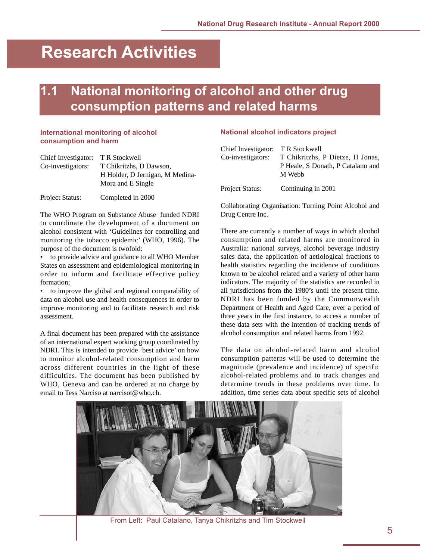# <span id="page-8-0"></span>**Research Activities**

# **National monitoring of alcohol and other drug consumption patterns and related harms**

### **International monitoring of alcohol consumption and harm**

| Chief Investigator: | T R Stockwell                   |
|---------------------|---------------------------------|
| Co-investigators:   | T Chikritzhs, D Dawson,         |
|                     | H Holder, D Jernigan, M Medina- |
|                     | Mora and E Single               |
|                     |                                 |

Project Status: Completed in 2000

The WHO Program on Substance Abuse funded NDRI to coordinate the development of a document on alcohol consistent with 'Guidelines for controlling and monitoring the tobacco epidemic' (WHO, 1996). The purpose of the document is twofold:

to provide advice and guidance to all WHO Member States on assessment and epidemiological monitoring in order to inform and facilitate effective policy formation;

• to improve the global and regional comparability of data on alcohol use and health consequences in order to improve monitoring and to facilitate research and risk assessment.

A final document has been prepared with the assistance of an international expert working group coordinated by NDRI. This is intended to provide 'best advice' on how to monitor alcohol-related consumption and harm across different countries in the light of these difficulties. The document has been published by WHO, Geneva and can be ordered at no charge by email to Tess Narciso at narcisot@who.ch.

### **National alcohol indicators project**

| Chief Investigator: T R Stockwell |                                             |
|-----------------------------------|---------------------------------------------|
| Co-investigators:                 | T Chikritzhs, P Dietze, H Jonas,            |
|                                   | P Heale, S Donath, P Catalano and<br>M Webb |
| Project Status:                   | Continuing in 2001                          |

Collaborating Organisation: Turning Point Alcohol and Drug Centre Inc.

There are currently a number of ways in which alcohol consumption and related harms are monitored in Australia: national surveys, alcohol beverage industry sales data, the application of aetiological fractions to health statistics regarding the incidence of conditions known to be alcohol related and a variety of other harm indicators. The majority of the statistics are recorded in all jurisdictions from the 1980's until the present time. NDRI has been funded by the Commonwealth Department of Health and Aged Care, over a period of three years in the first instance, to access a number of these data sets with the intention of tracking trends of alcohol consumption and related harms from 1992.

The data on alcohol-related harm and alcohol consumption patterns will be used to determine the magnitude (prevalence and incidence) of specific alcohol-related problems and to track changes and determine trends in these problems over time. In addition, time series data about specific sets of alcohol



From Left: Paul Catalano, Tanya Chikritzhs and Tim Stockwell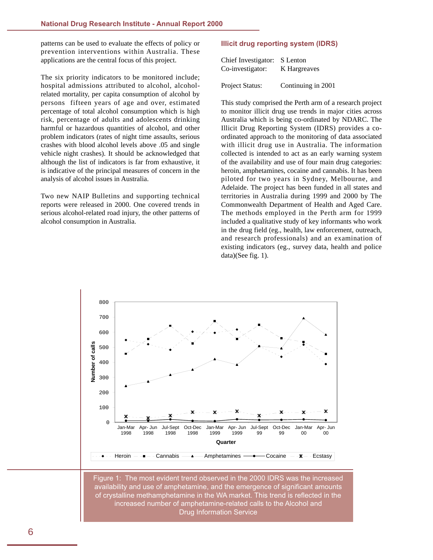patterns can be used to evaluate the effects of policy or prevention interventions within Australia. These applications are the central focus of this project.

The six priority indicators to be monitored include; hospital admissions attributed to alcohol, alcoholrelated mortality, per capita consumption of alcohol by persons fifteen years of age and over, estimated percentage of total alcohol consumption which is high risk, percentage of adults and adolescents drinking harmful or hazardous quantities of alcohol, and other problem indicators (rates of night time assaults, serious crashes with blood alcohol levels above .05 and single vehicle night crashes). It should be acknowledged that although the list of indicators is far from exhaustive, it is indicative of the principal measures of concern in the analysis of alcohol issues in Australia.

Two new NAIP Bulletins and supporting technical reports were released in 2000. One covered trends in serious alcohol-related road injury, the other patterns of alcohol consumption in Australia.

### **Illicit drug reporting system (IDRS)**

| Chief Investigator: S Lenton |              |
|------------------------------|--------------|
| Co-investigator:             | K Hargreaves |

Project Status: Continuing in 2001

This study comprised the Perth arm of a research project to monitor illicit drug use trends in major cities across Australia which is being co-ordinated by NDARC. The Illicit Drug Reporting System (IDRS) provides a coordinated approach to the monitoring of data associated with illicit drug use in Australia. The information collected is intended to act as an early warning system of the availability and use of four main drug categories: heroin, amphetamines, cocaine and cannabis. It has been piloted for two years in Sydney, Melbourne, and Adelaide. The project has been funded in all states and territories in Australia during 1999 and 2000 by The Commonwealth Department of Health and Aged Care. The methods employed in the Perth arm for 1999 included a qualitative study of key informants who work in the drug field (eg., health, law enforcement, outreach, and research professionals) and an examination of existing indicators (eg., survey data, health and police data)(See fig. 1).



Figure 1: The most evident trend observed in the 2000 IDRS was the increased availability and use of amphetamine, and the emergence of significant amounts of crystalline methamphetamine in the WA market. This trend is reflected in the increased number of amphetamine-related calls to the Alcohol and Drug Information Service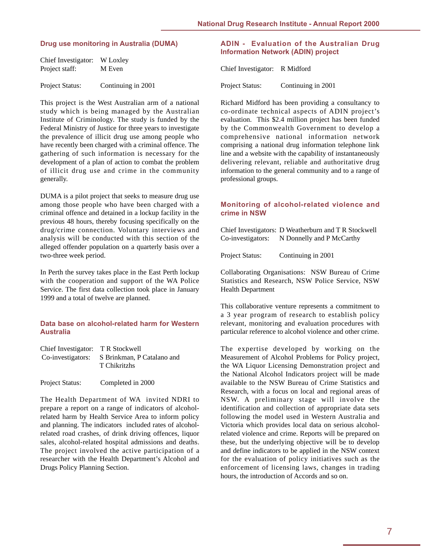### **Drug use monitoring in Australia (DUMA)**

| Chief Investigator: W Loxley |        |
|------------------------------|--------|
| Project staff:               | M Even |
|                              |        |

Project Status: Continuing in 2001

This project is the West Australian arm of a national study which is being managed by the Australian Institute of Criminology. The study is funded by the Federal Ministry of Justice for three years to investigate the prevalence of illicit drug use among people who have recently been charged with a criminal offence. The gathering of such information is necessary for the development of a plan of action to combat the problem of illicit drug use and crime in the community generally.

DUMA is a pilot project that seeks to measure drug use among those people who have been charged with a criminal offence and detained in a lockup facility in the previous 48 hours, thereby focusing specifically on the drug/crime connection. Voluntary interviews and analysis will be conducted with this section of the alleged offender population on a quarterly basis over a two-three week period.

In Perth the survey takes place in the East Perth lockup with the cooperation and support of the WA Police Service. The first data collection took place in January 1999 and a total of twelve are planned.

### **Data base on alcohol-related harm for Western Australia**

| Co-investigators: S Brinkman, P Catalano and |
|----------------------------------------------|
|                                              |
|                                              |

Project Status: Completed in 2000

The Health Department of WA invited NDRI to prepare a report on a range of indicators of alcoholrelated harm by Health Service Area to inform policy and planning. The indicators included rates of alcoholrelated road crashes, of drink driving offences, liquor sales, alcohol-related hospital admissions and deaths. The project involved the active participation of a researcher with the Health Department's Alcohol and Drugs Policy Planning Section.

### **ADIN - Evaluation of the Australian Drug Information Network (ADIN) project**

Chief Investigator: R Midford

Project Status: Continuing in 2001

Richard Midford has been providing a consultancy to co-ordinate technical aspects of ADIN project's evaluation. This \$2.4 million project has been funded by the Commonwealth Government to develop a comprehensive national information network comprising a national drug information telephone link line and a website with the capability of instantaneously delivering relevant, reliable and authoritative drug information to the general community and to a range of professional groups.

### **Monitoring of alcohol-related violence and crime in NSW**

Chief Investigators: D Weatherburn and T R Stockwell Co-investigators: N Donnelly and P McCarthy

Project Status: Continuing in 2001

Collaborating Organisations: NSW Bureau of Crime Statistics and Research, NSW Police Service, NSW Health Department

This collaborative venture represents a commitment to a 3 year program of research to establish policy relevant, monitoring and evaluation procedures with particular reference to alcohol violence and other crime.

The expertise developed by working on the Measurement of Alcohol Problems for Policy project, the WA Liquor Licensing Demonstration project and the National Alcohol Indicators project will be made available to the NSW Bureau of Crime Statistics and Research, with a focus on local and regional areas of NSW. A preliminary stage will involve the identification and collection of appropriate data sets following the model used in Western Australia and Victoria which provides local data on serious alcoholrelated violence and crime. Reports will be prepared on these, but the underlying objective will be to develop and define indicators to be applied in the NSW context for the evaluation of policy initiatives such as the enforcement of licensing laws, changes in trading hours, the introduction of Accords and so on.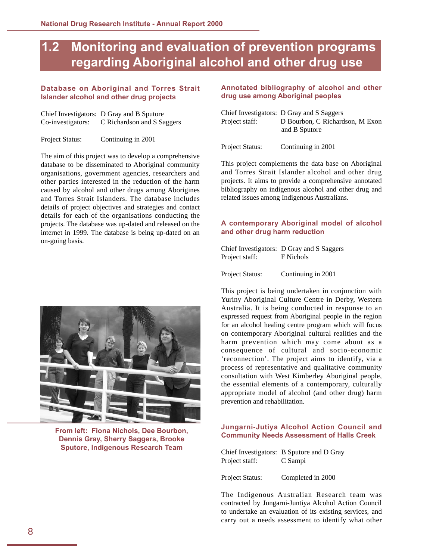## <span id="page-11-0"></span>**1.2 Monitoring and evaluation of prevention programs regarding Aboriginal alcohol and other drug use**

### **Database on Aboriginal and Torres Strait Islander alcohol and other drug projects**

|                   | Chief Investigators: D Gray and B Sputore |
|-------------------|-------------------------------------------|
| Co-investigators: | C Richardson and S Saggers                |

Project Status: Continuing in 2001

The aim of this project was to develop a comprehensive database to be disseminated to Aboriginal community organisations, government agencies, researchers and other parties interested in the reduction of the harm caused by alcohol and other drugs among Aborigines and Torres Strait Islanders. The database includes details of project objectives and strategies and contact details for each of the organisations conducting the projects. The database was up-dated and released on the internet in 1999. The database is being up-dated on an on-going basis.



**From left: Fiona Nichols, Dee Bourbon, Dennis Gray, Sherry Saggers, Brooke Sputore, Indigenous Research Team**

### **Annotated bibliography of alcohol and other drug use among Aboriginal peoples**

|                        | Chief Investigators: D Gray and S Saggers |
|------------------------|-------------------------------------------|
| Project staff:         | D Bourbon, C Richardson, M Exon           |
|                        | and B Sputore                             |
|                        |                                           |
| <b>Project Status:</b> | Continuing in 2001                        |

This project complements the data base on Aboriginal and Torres Strait Islander alcohol and other drug projects. It aims to provide a comprehensive annotated bibliography on indigenous alcohol and other drug and related issues among Indigenous Australians.

### **A contemporary Aboriginal model of alcohol and other drug harm reduction**

Chief Investigators: D Gray and S Saggers Project staff: F Nichols

Project Status: Continuing in 2001

This project is being undertaken in conjunction with Yuriny Aboriginal Culture Centre in Derby, Western Australia. It is being conducted in response to an expressed request from Aboriginal people in the region for an alcohol healing centre program which will focus on contemporary Aboriginal cultural realities and the harm prevention which may come about as a consequence of cultural and socio-economic 'reconnection'. The project aims to identify, via a process of representative and qualitative community consultation with West Kimberley Aboriginal people, the essential elements of a contemporary, culturally appropriate model of alcohol (and other drug) harm prevention and rehabilitation.

### **Jungarni-Jutiya Alcohol Action Council and Community Needs Assessment of Halls Creek**

|                | Chief Investigators: B Sputore and D Gray |
|----------------|-------------------------------------------|
| Project staff: | C Sampi                                   |

Project Status: Completed in 2000

The Indigenous Australian Research team was contracted by Jungarni-Juntiya Alcohol Action Council to undertake an evaluation of its existing services, and carry out a needs assessment to identify what other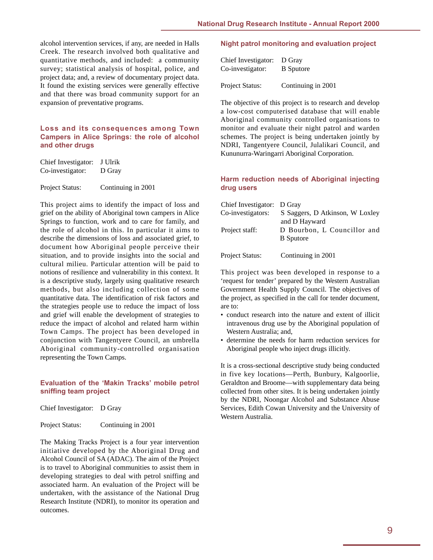alcohol intervention services, if any, are needed in Halls Creek. The research involved both qualitative and quantitative methods, and included: a community survey; statistical analysis of hospital, police, and project data; and, a review of documentary project data. It found the existing services were generally effective and that there was broad community support for an expansion of preventative programs.

### **Loss and its consequences among Town Campers in Alice Springs: the role of alcohol and other drugs**

| Chief Investigator: J Ulrik |        |
|-----------------------------|--------|
| Co-investigator:            | D Gray |
|                             |        |

Project Status: Continuing in 2001

This project aims to identify the impact of loss and grief on the ability of Aboriginal town campers in Alice Springs to function, work and to care for family, and the role of alcohol in this. In particular it aims to describe the dimensions of loss and associated grief, to document how Aboriginal people perceive their situation, and to provide insights into the social and cultural milieu. Particular attention will be paid to notions of resilience and vulnerability in this context. It is a descriptive study, largely using qualitative research methods, but also including collection of some quantitative data. The identification of risk factors and the strategies people use to reduce the impact of loss and grief will enable the development of strategies to reduce the impact of alcohol and related harm within Town Camps. The project has been developed in conjunction with Tangentyere Council, an umbrella Aboriginal community-controlled organisation representing the Town Camps.

### **Evaluation of the 'Makin Tracks' mobile petrol sniffing team project**

Chief Investigator: D Gray

| Project Status: | Continuing in 2001 |
|-----------------|--------------------|
|                 |                    |

The Making Tracks Project is a four year intervention initiative developed by the Aboriginal Drug and Alcohol Council of SA (ADAC). The aim of the Project is to travel to Aboriginal communities to assist them in developing strategies to deal with petrol sniffing and associated harm. An evaluation of the Project will be undertaken, with the assistance of the National Drug Research Institute (NDRI), to monitor its operation and outcomes.

### **Night patrol monitoring and evaluation project**

| Chief Investigator: D Gray |                  |
|----------------------------|------------------|
| Co-investigator:           | <b>B</b> Sputore |
|                            |                  |

Project Status: Continuing in 2001

The objective of this project is to research and develop a low-cost computerised database that will enable Aboriginal community controlled organisations to monitor and evaluate their night patrol and warden schemes. The project is being undertaken jointly by NDRI, Tangentyere Council, Julalikari Council, and Kununurra-Waringarri Aboriginal Corporation.

### **Harm reduction needs of Aboriginal injecting drug users**

| Chief Investigator: D Gray |                                 |
|----------------------------|---------------------------------|
| Co-investigators:          | S Saggers, D Atkinson, W Loxley |
|                            | and D Hayward                   |
| Project staff:             | D Bourbon, L Councillor and     |
|                            | <b>B</b> Sputore                |
| Project Status:            | Continuing in 2001              |

This project was been developed in response to a 'request for tender' prepared by the Western Australian Government Health Supply Council. The objectives of the project, as specified in the call for tender document, are to:

- conduct research into the nature and extent of illicit intravenous drug use by the Aboriginal population of Western Australia; and,
- determine the needs for harm reduction services for Aboriginal people who inject drugs illicitly.

It is a cross-sectional descriptive study being conducted in five key locations—Perth, Bunbury, Kalgoorlie, Geraldton and Broome—with supplementary data being collected from other sites. It is being undertaken jointly by the NDRI, Noongar Alcohol and Substance Abuse Services, Edith Cowan University and the University of Western Australia.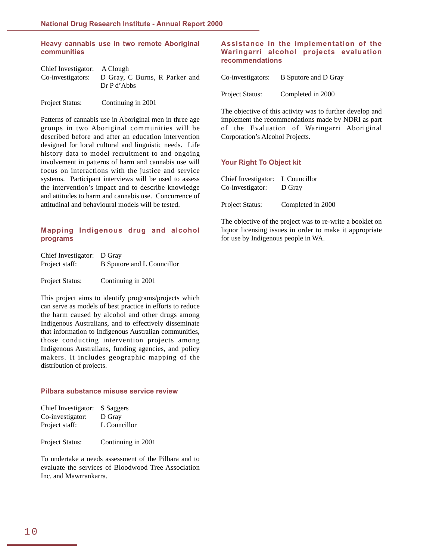### **Heavy cannabis use in two remote Aboriginal communities**

| Chief Investigator: A Clough |                                                                |
|------------------------------|----------------------------------------------------------------|
|                              | Co-investigators: D Gray, C Burns, R Parker and<br>Dr P d'Abbs |
| Project Status:              | Continuing in 2001                                             |

Patterns of cannabis use in Aboriginal men in three age groups in two Aboriginal communities will be described before and after an education intervention designed for local cultural and linguistic needs. Life history data to model recruitment to and ongoing involvement in patterns of harm and cannabis use will focus on interactions with the justice and service systems. Participant interviews will be used to assess the intervention's impact and to describe knowledge and attitudes to harm and cannabis use. Concurrence of attitudinal and behavioural models will be tested.

### **Mapping Indigenous drug and alcohol programs**

| Chief Investigator: D Gray |                            |
|----------------------------|----------------------------|
| Project staff:             | B Sputore and L Councillor |
| <b>Project Status:</b>     | Continuing in 2001         |

This project aims to identify programs/projects which can serve as models of best practice in efforts to reduce the harm caused by alcohol and other drugs among Indigenous Australians, and to effectively disseminate that information to Indigenous Australian communities, those conducting intervention projects among Indigenous Australians, funding agencies, and policy makers. It includes geographic mapping of the distribution of projects.

#### **Pilbara substance misuse service review**

| Chief Investigator: S Saggers |              |
|-------------------------------|--------------|
| Co-investigator:              | D Gray       |
| Project staff:                | L Councillor |

Project Status: Continuing in 2001

To undertake a needs assessment of the Pilbara and to evaluate the services of Bloodwood Tree Association Inc. and Mawrrankarra.

### **Assistance in the implementation of the Waringarri alcohol projects evaluation recommendations**

| Co-investigators: | B Sputore and D Gray |
|-------------------|----------------------|
| Project Status:   | Completed in 2000    |

The objective of this activity was to further develop and implement the recommendations made by NDRI as part of the Evaluation of Waringarri Aboriginal Corporation's Alcohol Projects.

#### **Your Right To Object kit**

| Chief Investigator: L Councillor<br>Co-investigator: | D Gray            |
|------------------------------------------------------|-------------------|
| Project Status:                                      | Completed in 2000 |

The objective of the project was to re-write a booklet on liquor licensing issues in order to make it appropriate for use by Indigenous people in WA.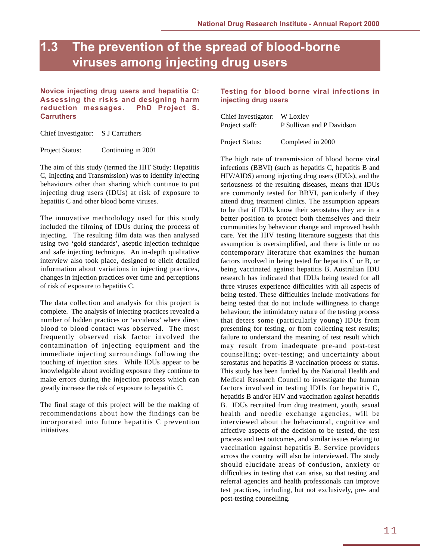## <span id="page-14-0"></span>**1.3 The prevention of the spread of blood-borne viruses among injecting drug users**

**Novice injecting drug users and hepatitis C: Assessing the risks and designing harm reduction messages. PhD Project S. Carruthers**

Chief Investigator: S J Carruthers

Project Status: Continuing in 2001

The aim of this study (termed the HIT Study: Hepatitis C, Injecting and Transmission) was to identify injecting behaviours other than sharing which continue to put injecting drug users (IDUs) at risk of exposure to hepatitis C and other blood borne viruses.

The innovative methodology used for this study included the filming of IDUs during the process of injecting. The resulting film data was then analysed using two 'gold standards', aseptic injection technique and safe injecting technique. An in-depth qualitative interview also took place, designed to elicit detailed information about variations in injecting practices, changes in injection practices over time and perceptions of risk of exposure to hepatitis C.

The data collection and analysis for this project is complete. The analysis of injecting practices revealed a number of hidden practices or 'accidents' where direct blood to blood contact was observed. The most frequently observed risk factor involved the contamination of injecting equipment and the immediate injecting surroundings following the touching of injection sites. While IDUs appear to be knowledgable about avoiding exposure they continue to make errors during the injection process which can greatly increase the risk of exposure to hepatitis C.

The final stage of this project will be the making of recommendations about how the findings can be incorporated into future hepatitis C prevention initiatives.

### **Testing for blood borne viral infections in injecting drug users**

| Chief Investigator: W Loxley |                           |
|------------------------------|---------------------------|
| Project staff:               | P Sullivan and P Davidson |

Project Status: Completed in 2000

The high rate of transmission of blood borne viral infections (BBVI) (such as hepatitis C, hepatitis B and HIV/AIDS) among injecting drug users (IDUs), and the seriousness of the resulting diseases, means that IDUs are commonly tested for BBVI, particularly if they attend drug treatment clinics. The assumption appears to be that if IDUs know their serostatus they are in a better position to protect both themselves and their communities by behaviour change and improved health care. Yet the HIV testing literature suggests that this assumption is oversimplified, and there is little or no contemporary literature that examines the human factors involved in being tested for hepatitis C or B, or being vaccinated against hepatitis B. Australian IDU research has indicated that IDUs being tested for all three viruses experience difficulties with all aspects of being tested. These difficulties include motivations for being tested that do not include willingness to change behaviour; the intimidatory nature of the testing process that deters some (particularly young) IDUs from presenting for testing, or from collecting test results; failure to understand the meaning of test result which may result from inadequate pre-and post-test counselling; over-testing; and uncertainty about serostatus and hepatitis B vaccination process or status. This study has been funded by the National Health and Medical Research Council to investigate the human factors involved in testing IDUs for hepatitis C, hepatitis B and/or HIV and vaccination against hepatitis B. IDUs recruited from drug treatment, youth, sexual health and needle exchange agencies, will be interviewed about the behavioural, cognitive and affective aspects of the decision to be tested, the test process and test outcomes, and similar issues relating to vaccination against hepatitis B. Service providers across the country will also be interviewed. The study should elucidate areas of confusion, anxiety or difficulties in testing that can arise, so that testing and referral agencies and health professionals can improve test practices, including, but not exclusively, pre- and post-testing counselling.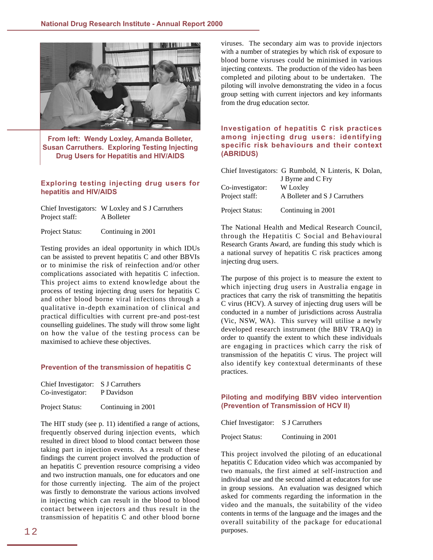

**From left: Wendy Loxley, Amanda Bolleter, Susan Carruthers. Exploring Testing Injecting Drug Users for Hepatitis and HIV/AIDS**

### **Exploring testing injecting drug users for hepatitis and HIV/AIDS**

|                 | Chief Investigators: W Loxley and S J Carruthers |
|-----------------|--------------------------------------------------|
| Project staff:  | A Bolleter                                       |
| Project Status: | Continuing in 2001                               |

Testing provides an ideal opportunity in which IDUs can be assisted to prevent hepatitis C and other BBVIs or to minimise the risk of reinfection and/or other complications associated with hepatitis C infection. This project aims to extend knowledge about the process of testing injecting drug users for hepatitis C and other blood borne viral infections through a qualitative in-depth examination of clinical and practical difficulties with current pre-and post-test counselling guidelines. The study will throw some light on how the value of the testing process can be maximised to achieve these objectives.

#### **Prevention of the transmission of hepatitis C**

| Chief Investigator: S J Carruthers |                    |
|------------------------------------|--------------------|
| Co-investigator:                   | P Davidson         |
| Project Status:                    | Continuing in 2001 |

The HIT study (see p. 11) identified a range of actions, frequently observed during injection events, which resulted in direct blood to blood contact between those taking part in injection events. As a result of these findings the current project involved the production of an hepatitis C prevention resource comprising a video and two instruction manuals, one for educators and one for those currently injecting. The aim of the project was firstly to demonstrate the various actions involved in injecting which can result in the blood to blood contact between injectors and thus result in the transmission of hepatitis C and other blood borne

viruses. The secondary aim was to provide injectors with a number of strategies by which risk of exposure to blood borne visruses could be minimised in various injecting contexts. The production of the video has been completed and piloting about to be undertaken. The piloting will involve demonstrating the video in a focus group setting with current injectors and key informants from the drug education sector.

### **Investigation of hepatitis C risk practices among injecting drug users: identifying specific risk behaviours and their context (ABRIDUS)**

|                                    | Chief Investigators: G Rumbold, N Linteris, K Dolan, |
|------------------------------------|------------------------------------------------------|
|                                    | J Byrne and C Fry                                    |
| Co-investigator:<br>Project staff: | W Loxley<br>A Bolleter and S J Carruthers            |
| Project Status:                    | Continuing in 2001                                   |

The National Health and Medical Research Council, through the Hepatitis C Social and Behavioural Research Grants Award, are funding this study which is a national survey of hepatitis C risk practices among injecting drug users.

The purpose of this project is to measure the extent to which injecting drug users in Australia engage in practices that carry the risk of transmitting the hepatitis C virus (HCV). A survey of injecting drug users will be conducted in a number of jurisdictions across Australia (Vic, NSW, WA). This survey will utilise a newly developed research instrument (the BBV TRAQ) in order to quantify the extent to which these individuals are engaging in practices which carry the risk of transmission of the hepatitis C virus. The project will also identify key contextual determinants of these practices.

### **Piloting and modifying BBV video intervention (Prevention of Transmission of HCV II)**

Chief Investigator: S J Carruthers

Project Status: Continuing in 2001

This project involved the piloting of an educational hepatitis C Education video which was accompanied by two manuals, the first aimed at self-instruction and individual use and the second aimed at educators for use in group sessions. An evaluation was designed which asked for comments regarding the information in the video and the manuals, the suitability of the video contents in terms of the language and the images and the overall suitability of the package for educational purposes.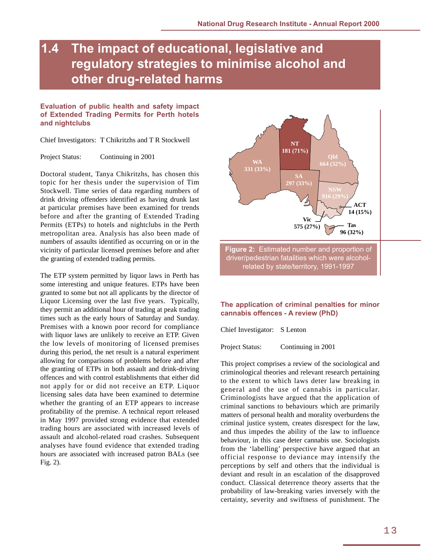## <span id="page-16-0"></span>**1.4 The impact of educational, legislative and regulatory strategies to minimise alcohol and other drug-related harms**

### **Evaluation of public health and safety impact of Extended Trading Permits for Perth hotels and nightclubs**

Chief Investigators: T Chikritzhs and T R Stockwell

Project Status: Continuing in 2001

Doctoral student, Tanya Chikritzhs, has chosen this topic for her thesis under the supervision of Tim Stockwell. Time series of data regarding numbers of drink driving offenders identified as having drunk last at particular premises have been examined for trends before and after the granting of Extended Trading Permits (ETPs) to hotels and nightclubs in the Perth metropolitan area. Analysis has also been made of numbers of assaults identified as occurring on or in the vicinity of particular licensed premises before and after the granting of extended trading permits.

The ETP system permitted by liquor laws in Perth has some interesting and unique features. ETPs have been granted to some but not all applicants by the director of Liquor Licensing over the last five years. Typically, they permit an additional hour of trading at peak trading times such as the early hours of Saturday and Sunday. Premises with a known poor record for compliance with liquor laws are unlikely to receive an ETP. Given the low levels of monitoring of licensed premises during this period, the net result is a natural experiment allowing for comparisons of problems before and after the granting of ETPs in both assault and drink-driving offences and with control establishments that either did not apply for or did not receive an ETP. Liquor licensing sales data have been examined to determine whether the granting of an ETP appears to increase profitability of the premise. A technical report released in May 1997 provided strong evidence that extended trading hours are associated with increased levels of assault and alcohol-related road crashes. Subsequent analyses have found evidence that extended trading hours are associated with increased patron BALs (see Fig. 2).



driver/pedestrian fatalities which were alcoholrelated by state/territory, 1991-1997

### **The application of criminal penalties for minor cannabis offences - A review (PhD)**

Chief Investigator: S Lenton

Project Status: Continuing in 2001

This project comprises a review of the sociological and criminological theories and relevant research pertaining to the extent to which laws deter law breaking in general and the use of cannabis in particular. Criminologists have argued that the application of criminal sanctions to behaviours which are primarily matters of personal health and morality overburdens the criminal justice system, creates disrespect for the law, and thus impedes the ability of the law to influence behaviour, in this case deter cannabis use. Sociologists from the 'labelling' perspective have argued that an official response to deviance may intensify the perceptions by self and others that the individual is deviant and result in an escalation of the disapproved conduct. Classical deterrence theory asserts that the probability of law-breaking varies inversely with the certainty, severity and swiftness of punishment. The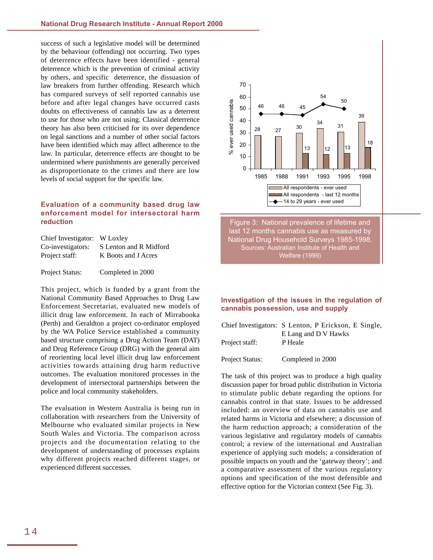success of such a legislative model will be determined by the behaviour (offending) not occurring. Two types of deterrence effects have been identified - general deterrence which is the prevention of criminal activity by others, and specific deterrence, the dissuasion of law breakers from further offending. Research which has compared surveys of self reported cannabis use before and after legal changes have occurred casts doubts on effectiveness of cannabis law as a deterrent to use for those who are not using. Classical deterrence theory has also been criticised for its over dependence on legal sanctions and a number of other social factors have been identified which may affect adherence to the law. In particular, deterrence effects are thought to be undermined where punishments are generally perceived as disproportionate to the crimes and there are low levels of social support for the specific law.

### **Evaluation of a community based drug law enforcement model for intersectoral harm reduction**

| Chief Investigator: W Loxley |                        |
|------------------------------|------------------------|
| Co-investigators:            | S Lenton and R Midford |
| Project staff:               | K Boots and J Acres    |
|                              |                        |

Project Status: Completed in 2000

This project, which is funded by a grant from the National Community Based Approaches to Drug Law Enforcement Secretariat, evaluated new models of illicit drug law enforcement. In each of Mirrabooka (Perth) and Geraldton a project co-ordinator employed by the WA Police Service established a community based structure comprising a Drug Action Team (DAT) and Drug Reference Group (DRG) with the general aim of reorienting local level illicit drug law enforcement activities towards attaining drug harm reductive outcomes. The evaluation monitored processes in the development of intersectoral partnerships between the police and local community stakeholders.

The evaluation in Western Australia is being run in collaboration with researchers from the University of Melbourne who evaluated similar projects in New South Wales and Victoria. The comparison across projects and the documentation relating to the development of understanding of processes explains why different projects reached different stages, or experienced different successes.



last 12 months cannabis use as measured by National Drug Household Surveys 1985-1998. Sources: Australian Institute of Health and Welfare (1999)

### **Investigation of the issues in the regulation of cannabis possession, use and supply**

|                        | Chief Investigators: S Lenton, P Erickson, E Single, |
|------------------------|------------------------------------------------------|
|                        | E Lang and D V Hawks                                 |
| Project staff:         | P Heale                                              |
|                        |                                                      |
| <b>Project Status:</b> | Completed in 2000                                    |

The task of this project was to produce a high quality discussion paper for broad public distribution in Victoria to stimulate public debate regarding the options for cannabis control in that state. Issues to be addressed included: an overview of data on cannabis use and related harms in Victoria and elsewhere; a discussion of the harm reduction approach; a consideration of the various legislative and regulatory models of cannabis control; a review of the international and Australian experience of applying such models; a consideration of possible impacts on youth and the 'gateway theory'; and a comparative assessment of the various regulatory options and specification of the most defensible and effective option for the Victorian context (See Fig. 3).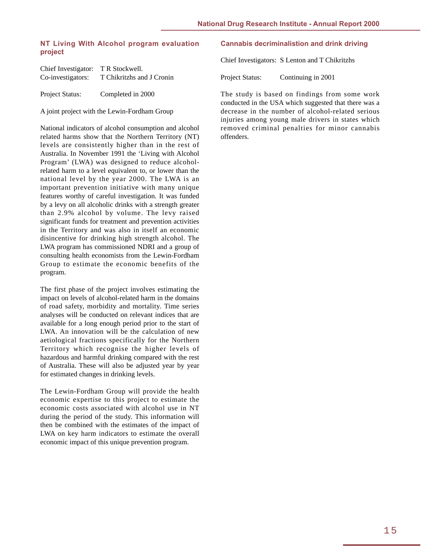### **NT Living With Alcohol program evaluation project**

| Chief Investigator: | T R Stockwell.            |
|---------------------|---------------------------|
| Co-investigators:   | T Chikritzhs and J Cronin |
| Project Status:     | Completed in 2000         |

A joint project with the Lewin-Fordham Group

National indicators of alcohol consumption and alcohol related harms show that the Northern Territory (NT) levels are consistently higher than in the rest of Australia. In November 1991 the 'Living with Alcohol Program' (LWA) was designed to reduce alcoholrelated harm to a level equivalent to, or lower than the national level by the year 2000. The LWA is an important prevention initiative with many unique features worthy of careful investigation. It was funded by a levy on all alcoholic drinks with a strength greater than 2.9% alcohol by volume. The levy raised significant funds for treatment and prevention activities in the Territory and was also in itself an economic disincentive for drinking high strength alcohol. The LWA program has commissioned NDRI and a group of consulting health economists from the Lewin-Fordham Group to estimate the economic benefits of the program.

The first phase of the project involves estimating the impact on levels of alcohol-related harm in the domains of road safety, morbidity and mortality. Time series analyses will be conducted on relevant indices that are available for a long enough period prior to the start of LWA. An innovation will be the calculation of new aetiological fractions specifically for the Northern Territory which recognise the higher levels of hazardous and harmful drinking compared with the rest of Australia. These will also be adjusted year by year for estimated changes in drinking levels.

The Lewin-Fordham Group will provide the health economic expertise to this project to estimate the economic costs associated with alcohol use in NT during the period of the study. This information will then be combined with the estimates of the impact of LWA on key harm indicators to estimate the overall economic impact of this unique prevention program.

### **Cannabis decriminalistion and drink driving**

Chief Investigators: S Lenton and T Chikritzhs

Project Status: Continuing in 2001

The study is based on findings from some work conducted in the USA which suggested that there was a decrease in the number of alcohol-related serious injuries among young male drivers in states which removed criminal penalties for minor cannabis offenders.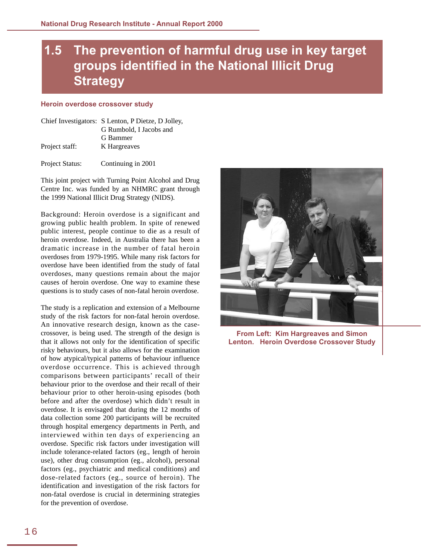# <span id="page-19-0"></span>**1.5 The prevention of harmful drug use in key target groups identified in the National Illicit Drug Strategy**

#### **Heroin overdose crossover study**

|                | Chief Investigators: S Lenton, P Dietze, D Jolley, |
|----------------|----------------------------------------------------|
|                | G Rumbold, I Jacobs and                            |
|                | G Bammer                                           |
| Project staff: | K Hargreaves                                       |
|                |                                                    |

Project Status: Continuing in 2001

This joint project with Turning Point Alcohol and Drug Centre Inc. was funded by an NHMRC grant through the 1999 National Illicit Drug Strategy (NIDS).

Background: Heroin overdose is a significant and growing public health problem. In spite of renewed public interest, people continue to die as a result of heroin overdose. Indeed, in Australia there has been a dramatic increase in the number of fatal heroin overdoses from 1979-1995. While many risk factors for overdose have been identified from the study of fatal overdoses, many questions remain about the major causes of heroin overdose. One way to examine these questions is to study cases of non-fatal heroin overdose.

The study is a replication and extension of a Melbourne study of the risk factors for non-fatal heroin overdose. An innovative research design, known as the casecrossover, is being used. The strength of the design is that it allows not only for the identification of specific risky behaviours, but it also allows for the examination of how atypical/typical patterns of behaviour influence overdose occurrence. This is achieved through comparisons between participants' recall of their behaviour prior to the overdose and their recall of their behaviour prior to other heroin-using episodes (both before and after the overdose) which didn't result in overdose. It is envisaged that during the 12 months of data collection some 200 participants will be recruited through hospital emergency departments in Perth, and interviewed within ten days of experiencing an overdose. Specific risk factors under investigation will include tolerance-related factors (eg., length of heroin use), other drug consumption (eg., alcohol), personal factors (eg., psychiatric and medical conditions) and dose-related factors (eg., source of heroin). The identification and investigation of the risk factors for non-fatal overdose is crucial in determining strategies for the prevention of overdose.



**From Left: Kim Hargreaves and Simon Lenton. Heroin Overdose Crossover Study**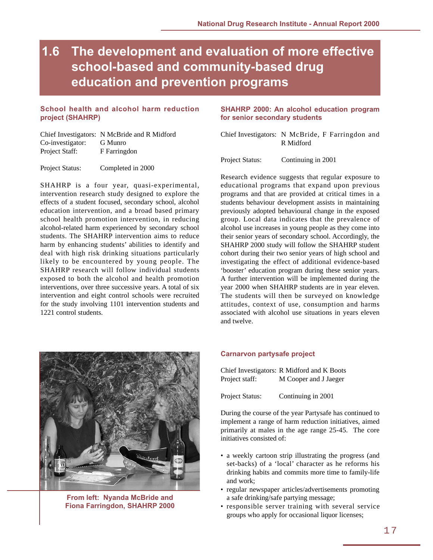## <span id="page-20-0"></span>**1.6 The development and evaluation of more effective school-based and community-based drug education and prevention programs**

### **School health and alcohol harm reduction project (SHAHRP)**

|                  | Chief Investigators: N McBride and R Midford |
|------------------|----------------------------------------------|
| Co-investigator: | G Munro                                      |
| Project Staff:   | F Farringdon                                 |

Project Status: Completed in 2000

SHAHRP is a four year, quasi-experimental, intervention research study designed to explore the effects of a student focused, secondary school, alcohol education intervention, and a broad based primary school health promotion intervention, in reducing alcohol-related harm experienced by secondary school students. The SHAHRP intervention aims to reduce harm by enhancing students' abilities to identify and deal with high risk drinking situations particularly likely to be encountered by young people. The SHAHRP research will follow individual students exposed to both the alcohol and health promotion interventions, over three successive years. A total of six intervention and eight control schools were recruited for the study involving 1101 intervention students and 1221 control students.



**From left: Nyanda McBride and Fiona Farringdon, SHAHRP 2000**

### **SHAHRP 2000: An alcohol education program for senior secondary students**

Chief Investigators: N McBride, F Farringdon and R Midford

Project Status: Continuing in 2001

Research evidence suggests that regular exposure to educational programs that expand upon previous programs and that are provided at critical times in a students behaviour development assists in maintaining previously adopted behavioural change in the exposed group. Local data indicates that the prevalence of alcohol use increases in young people as they come into their senior years of secondary school. Accordingly, the SHAHRP 2000 study will follow the SHAHRP student cohort during their two senior years of high school and investigating the effect of additional evidence-based 'booster' education program during these senior years. A further intervention will be implemented during the year 2000 when SHAHRP students are in year eleven. The students will then be surveyed on knowledge attitudes, context of use, consumption and harms associated with alcohol use situations in years eleven and twelve.

### **Carnarvon partysafe project**

Chief Investigators: R Midford and K Boots Project staff: M Cooper and J Jaeger

Project Status: Continuing in 2001

During the course of the year Partysafe has continued to implement a range of harm reduction initiatives, aimed primarily at males in the age range 25-45. The core initiatives consisted of:

- a weekly cartoon strip illustrating the progress (and set-backs) of a 'local' character as he reforms his drinking habits and commits more time to family-life and work;
- regular newspaper articles/advertisements promoting a safe drinking/safe partying message;
- responsible server training with several service groups who apply for occasional liquor licenses;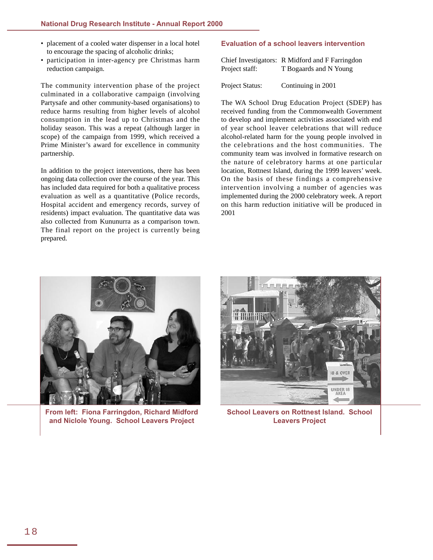- placement of a cooled water dispenser in a local hotel to encourage the spacing of alcoholic drinks;
- participation in inter-agency pre Christmas harm reduction campaign.

The community intervention phase of the project culminated in a collaborative campaign (involving Partysafe and other community-based organisations) to reduce harms resulting from higher levels of alcohol consumption in the lead up to Christmas and the holiday season. This was a repeat (although larger in scope) of the campaign from 1999, which received a Prime Minister's award for excellence in community partnership.

In addition to the project interventions, there has been ongoing data collection over the course of the year. This has included data required for both a qualitative process evaluation as well as a quantitative (Police records, Hospital accident and emergency records, survey of residents) impact evaluation. The quantitative data was also collected from Kununurra as a comparison town. The final report on the project is currently being prepared.

### **Evaluation of a school leavers intervention**

|                | Chief Investigators: R Midford and F Farringdon |
|----------------|-------------------------------------------------|
| Project staff: | T Bogaards and N Young                          |

Project Status: Continuing in 2001

The WA School Drug Education Project (SDEP) has received funding from the Commonwealth Government to develop and implement activities associated with end of year school leaver celebrations that will reduce alcohol-related harm for the young people involved in the celebrations and the host communities. The community team was involved in formative research on the nature of celebratory harms at one particular location, Rottnest Island, during the 1999 leavers' week. On the basis of these findings a comprehensive intervention involving a number of agencies was implemented during the 2000 celebratory week. A report on this harm reduction initiative will be produced in 2001



**From left: Fiona Farringdon, Richard Midford and Niclole Young. School Leavers Project**



**School Leavers on Rottnest Island. School Leavers Project**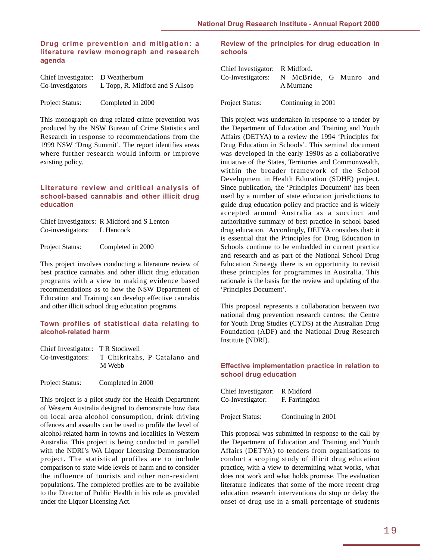### **Drug crime prevention and mitigation: a literature review monograph and research agenda**

| Chief Investigator: D Weatherburn |                                 |  |
|-----------------------------------|---------------------------------|--|
| Co-investigators                  | L Topp, R. Midford and S Allsop |  |
| <b>Project Status:</b>            | Completed in 2000               |  |

This monograph on drug related crime prevention was produced by the NSW Bureau of Crime Statistics and Research in response to recommendations from the 1999 NSW 'Drug Summit'. The report identifies areas where further research would inform or improve existing policy.

### **Literature review and critical analysis of school-based cannabis and other illicit drug education**

Chief Investigators: R Midford and S Lenton Co-investigators: L Hancock

Project Status: Completed in 2000

This project involves conducting a literature review of best practice cannabis and other illicit drug education programs with a view to making evidence based recommendations as to how the NSW Department of Education and Training can develop effective cannabis and other illicit school drug education programs.

### **Town profiles of statistical data relating to alcohol-related harm**

| Chief Investigator: T R Stockwell |                              |  |  |
|-----------------------------------|------------------------------|--|--|
| Co-investigators:                 | T Chikritzhs, P Catalano and |  |  |
|                                   | M Webb                       |  |  |

Project Status: Completed in 2000

This project is a pilot study for the Health Department of Western Australia designed to demonstrate how data on local area alcohol consumption, drink driving offences and assaults can be used to profile the level of alcohol-related harm in towns and localities in Western Australia. This project is being conducted in parallel with the NDRI's WA Liquor Licensing Demonstration project. The statistical profiles are to include comparison to state wide levels of harm and to consider the influence of tourists and other non-resident populations. The completed profiles are to be available to the Director of Public Health in his role as provided under the Liquor Licensing Act.

### **Review of the principles for drug education in schools**

| Chief Investigator: R Midford.           |           |  |  |
|------------------------------------------|-----------|--|--|
| Co-Investigators: N McBride, G Munro and |           |  |  |
|                                          | A Murnane |  |  |
|                                          |           |  |  |

Project Status: Continuing in 2001

This project was undertaken in response to a tender by the Department of Education and Training and Youth Affairs (DETYA) to a review the 1994 'Principles for Drug Education in Schools'. This seminal document was developed in the early 1990s as a collaborative initiative of the States, Territories and Commonwealth, within the broader framework of the School Development in Health Education (SDHE) project. Since publication, the 'Principles Document' has been used by a number of state education jurisdictions to guide drug education policy and practice and is widely accepted around Australia as a succinct and authoritative summary of best practice in school based drug education. Accordingly, DETYA considers that: it is essential that the Principles for Drug Education in Schools continue to be embedded in current practice and research and as part of the National School Drug Education Strategy there is an opportunity to revisit these principles for programmes in Australia. This rationale is the basis for the review and updating of the 'Principles Document'.

This proposal represents a collaboration between two national drug prevention research centres: the Centre for Youth Drug Studies (CYDS) at the Australian Drug Foundation (ADF) and the National Drug Research Institute (NDRI).

### **Effective implementation practice in relation to school drug education**

| Chief Investigator: R Midford |               |
|-------------------------------|---------------|
| Co-Investigator:              | F. Farringdon |
|                               |               |

Project Status: Continuing in 2001

This proposal was submitted in response to the call by the Department of Education and Training and Youth Affairs (DETYA) to tenders from organisations to conduct a scoping study of illicit drug education practice, with a view to determining what works, what does not work and what holds promise. The evaluation literature indicates that some of the more recent drug education research interventions do stop or delay the onset of drug use in a small percentage of students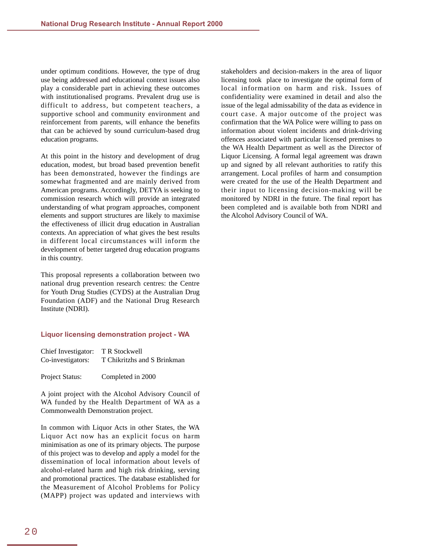under optimum conditions. However, the type of drug use being addressed and educational context issues also play a considerable part in achieving these outcomes with institutionalised programs. Prevalent drug use is difficult to address, but competent teachers, a supportive school and community environment and reinforcement from parents, will enhance the benefits that can be achieved by sound curriculum-based drug education programs.

At this point in the history and development of drug education, modest, but broad based prevention benefit has been demonstrated, however the findings are somewhat fragmented and are mainly derived from American programs. Accordingly, DETYA is seeking to commission research which will provide an integrated understanding of what program approaches, component elements and support structures are likely to maximise the effectiveness of illicit drug education in Australian contexts. An appreciation of what gives the best results in different local circumstances will inform the development of better targeted drug education programs in this country.

This proposal represents a collaboration between two national drug prevention research centres: the Centre for Youth Drug Studies (CYDS) at the Australian Drug Foundation (ADF) and the National Drug Research Institute (NDRI).

#### **Liquor licensing demonstration project - WA**

| Chief Investigator: | T R Stockwell               |
|---------------------|-----------------------------|
| Co-investigators:   | T Chikritzhs and S Brinkman |
| Project Status:     | Completed in 2000           |

A joint project with the Alcohol Advisory Council of WA funded by the Health Department of WA as a Commonwealth Demonstration project.

In common with Liquor Acts in other States, the WA Liquor Act now has an explicit focus on harm minimisation as one of its primary objects. The purpose of this project was to develop and apply a model for the dissemination of local information about levels of alcohol-related harm and high risk drinking, serving and promotional practices. The database established for the Measurement of Alcohol Problems for Policy (MAPP) project was updated and interviews with

stakeholders and decision-makers in the area of liquor licensing took place to investigate the optimal form of local information on harm and risk. Issues of confidentiality were examined in detail and also the issue of the legal admissability of the data as evidence in court case. A major outcome of the project was confirmation that the WA Police were willing to pass on information about violent incidents and drink-driving offences associated with particular licensed premises to the WA Health Department as well as the Director of Liquor Licensing. A formal legal agreement was drawn up and signed by all relevant authorities to ratify this arrangement. Local profiles of harm and consumption were created for the use of the Health Department and their input to licensing decision-making will be monitored by NDRI in the future. The final report has been completed and is available both from NDRI and the Alcohol Advisory Council of WA.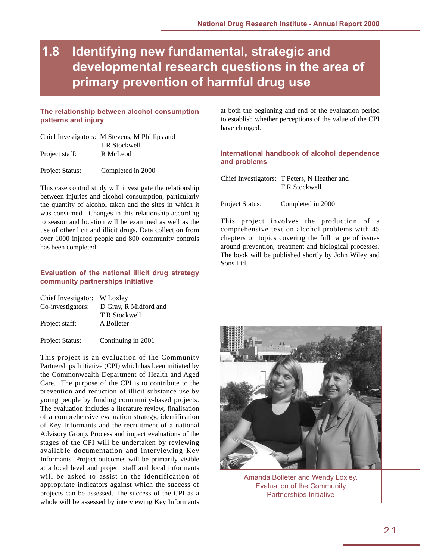## <span id="page-24-0"></span>**1.8 Identifying new fundamental, strategic and developmental research questions in the area of primary prevention of harmful drug use**

### **The relationship between alcohol consumption patterns and injury**

|                | Chief Investigators: M Stevens, M Phillips and |
|----------------|------------------------------------------------|
|                | T R Stockwell                                  |
| Project staff: | R McLeod                                       |
|                |                                                |

Project Status: Completed in 2000

This case control study will investigate the relationship between injuries and alcohol consumption, particularly the quantity of alcohol taken and the sites in which it was consumed. Changes in this relationship according to season and location will be examined as well as the use of other licit and illicit drugs. Data collection from over 1000 injured people and 800 community controls has been completed.

### **Evaluation of the national illicit drug strategy community partnerships initiative**

| Chief Investigator: W Loxley |                       |
|------------------------------|-----------------------|
| Co-investigators:            | D Gray, R Midford and |
|                              | T R Stockwell         |
| Project staff:               | A Bolleter            |
|                              |                       |

Project Status: Continuing in 2001

This project is an evaluation of the Community Partnerships Initiative (CPI) which has been initiated by the Commonwealth Department of Health and Aged Care. The purpose of the CPI is to contribute to the prevention and reduction of illicit substance use by young people by funding community-based projects. The evaluation includes a literature review, finalisation of a comprehensive evaluation strategy, identification of Key Informants and the recruitment of a national Advisory Group. Process and impact evaluations of the stages of the CPI will be undertaken by reviewing available documentation and interviewing Key Informants. Project outcomes will be primarily visible at a local level and project staff and local informants will be asked to assist in the identification of appropriate indicators against which the success of projects can be assessed. The success of the CPI as a whole will be assessed by interviewing Key Informants

at both the beginning and end of the evaluation period to establish whether perceptions of the value of the CPI have changed.

### **International handbook of alcohol dependence and problems**

Chief Investigators: T Peters, N Heather and T R Stockwell

Project Status: Completed in 2000

This project involves the production of a comprehensive text on alcohol problems with 45 chapters on topics covering the full range of issues around prevention, treatment and biological processes. The book will be published shortly by John Wiley and Sons Ltd.



Amanda Bolleter and Wendy Loxley. Evaluation of the Community Partnerships Initiative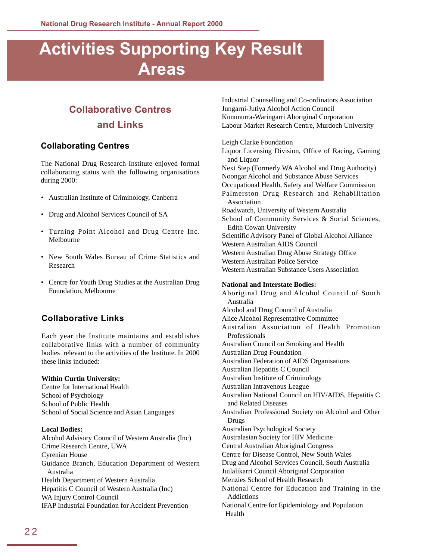# <span id="page-25-0"></span>**Activities Supporting Key Result Areas**

## **Collaborative Centres and Links**

### **Collaborating Centres**

The National Drug Research Institute enjoyed formal collaborating status with the following organisations during 2000:

- Australian Institute of Criminology, Canberra
- Drug and Alcohol Services Council of SA
- Turning Point Alcohol and Drug Centre Inc. Melbourne
- New South Wales Bureau of Crime Statistics and Research
- Centre for Youth Drug Studies at the Australian Drug Foundation, Melbourne

### **Collaborative Links**

Each year the Institute maintains and establishes collaborative links with a number of community bodies relevant to the activities of the Institute. In 2000 these links included:

### **Within Curtin University:**

Centre for International Health School of Psychology School of Public Health School of Social Science and Asian Languages

### **Local Bodies:**

Alcohol Advisory Council of Western Australia (Inc) Crime Research Centre, UWA Cyrenian House Guidance Branch, Education Department of Western Australia Health Department of Western Australia Hepatitis C Council of Western Australia (Inc) WA Injury Control Council IFAP Industrial Foundation for Accident Prevention

Industrial Counselling and Co-ordinators Association Jungarni-Jutiya Alcohol Action Council Kununurra-Waringarri Aboriginal Corporation Labour Market Research Centre, Murdoch University

#### Leigh Clarke Foundation

Liquor Licensing Division, Office of Racing, Gaming and Liquor Next Step (Formerly WA Alcohol and Drug Authority) Noongar Alcohol and Substance Abuse Services Occupational Health, Safety and Welfare Commission Palmerston Drug Research and Rehabilitation Association Roadwatch, University of Western Australia School of Community Services & Social Sciences, Edith Cowan University Scientific Advisory Panel of Global Alcohol Alliance Western Australian AIDS Council Western Australian Drug Abuse Strategy Office Western Australian Police Service Western Australian Substance Users Association **National and Interstate Bodies:** Aboriginal Drug and Alcohol Council of South Australia Alcohol and Drug Council of Australia Alice Alcohol Representative Committee Australian Association of Health Promotion Professionals Australian Council on Smoking and Health Australian Drug Foundation Australian Federation of AIDS Organisations Australian Hepatitis C Council Australian Institute of Criminology Australian Intravenous League Australian National Council on HIV/AIDS, Hepatitis C and Related Diseases Australian Professional Society on Alcohol and Other Drugs Australian Psychological Society Australasian Society for HIV Medicine Central Australian Aboriginal Congress Centre for Disease Control, New South Wales Drug and Alcohol Services Council, South Australia Juilalikarri Council Aboriginal Corporation Menzies School of Health Research National Centre for Education and Training in the Addictions National Centre for Epidemiology and Population Health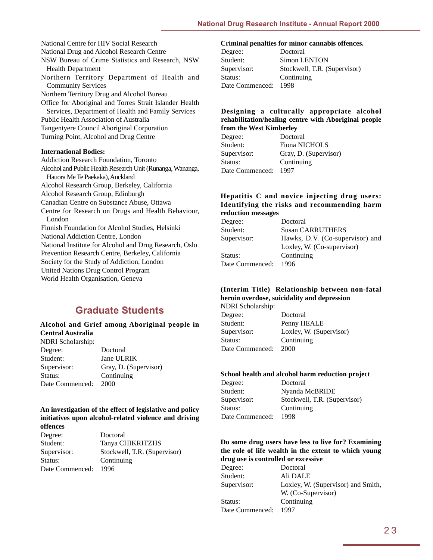<span id="page-26-0"></span>National Centre for HIV Social Research National Drug and Alcohol Research Centre NSW Bureau of Crime Statistics and Research, NSW Health Department Northern Territory Department of Health and Community Services Northern Territory Drug and Alcohol Bureau Office for Aboriginal and Torres Strait Islander Health Services, Department of Health and Family Services Public Health Association of Australia Tangentyere Council Aboriginal Corporation Turning Point, Alcohol and Drug Centre

### **International Bodies:**

Addiction Research Foundation, Toronto Alcohol and Public Health Research Unit (Runanga, Wananga, Hauora Me Te Paekaka), Auckland Alcohol Research Group, Berkeley, California Alcohol Research Group, Edinburgh Canadian Centre on Substance Abuse, Ottawa Centre for Research on Drugs and Health Behaviour, London Finnish Foundation for Alcohol Studies, Helsinki National Addiction Centre, London National Institute for Alcohol and Drug Research, Oslo Prevention Research Centre, Berkeley, California Society for the Study of Addiction, London United Nations Drug Control Program World Health Organisation, Geneva

### **Graduate Students**

#### **Alcohol and Grief among Aboriginal people in Central Australia** NDRI Scholarship:

| іміні әспонағынр. |                       |
|-------------------|-----------------------|
| Degree:           | Doctoral              |
| Student:          | Jane ULRIK            |
| Supervisor:       | Gray, D. (Supervisor) |
| Status:           | Continuing            |
| Date Commenced:   | 2000                  |

#### **An investigation of the effect of legislative and policy initiatives upon alcohol-related violence and driving offences**

| Degree:         | Doctoral                     |
|-----------------|------------------------------|
| Student:        | Tanya CHIKRITZHS             |
| Supervisor:     | Stockwell, T.R. (Supervisor) |
| Status:         | Continuing                   |
| Date Commenced: | 1996                         |

### **Criminal penalties for minor cannabis offences.**

| Degree:         | Doctoral                     |
|-----------------|------------------------------|
| Student:        | Simon LENTON                 |
| Supervisor:     | Stockwell, T.R. (Supervisor) |
| Status:         | Continuing                   |
| Date Commenced: | 1998                         |
|                 |                              |

### **Designing a culturally appropriate alcohol rehabilitation/healing centre with Aboriginal people from the West Kimberley**

| Degree:         | Doctoral              |
|-----------------|-----------------------|
| Student:        | <b>Fiona NICHOLS</b>  |
| Supervisor:     | Gray, D. (Supervisor) |
| Status:         | Continuing            |
| Date Commenced: | 1997                  |
|                 |                       |

### **Hepatitis C and novice injecting drug users: Identifying the risks and recommending harm reduction messages**

| Degree:         | Doctoral                        |
|-----------------|---------------------------------|
| Student:        | <b>Susan CARRUTHERS</b>         |
| Supervisor:     | Hawks, D.V. (Co-supervisor) and |
|                 | Loxley, W. (Co-supervisor)      |
| Status:         | Continuing                      |
| Date Commenced: | 1996                            |
|                 |                                 |

### **(Interim Title) Relationship between non-fatal heroin overdose, suicidality and depression**

| <b>NDRI</b> Scholarship: |                         |
|--------------------------|-------------------------|
| Degree:                  | Doctoral                |
| Student:                 | Penny HEALE             |
| Supervisor:              | Loxley, W. (Supervisor) |
| Status:                  | Continuing              |
| Date Commenced:          | 2000                    |
|                          |                         |

### **School health and alcohol harm reduction project**

| Degree:         | Doctoral                     |
|-----------------|------------------------------|
| Student:        | Nyanda McBRIDE               |
| Supervisor:     | Stockwell, T.R. (Supervisor) |
| Status:         | Continuing                   |
| Date Commenced: | 1998                         |
|                 |                              |

### **Do some drug users have less to live for? Examining the role of life wealth in the extent to which young drug use is controlled or excessive**

| Degree:         | Doctoral                           |
|-----------------|------------------------------------|
| Student:        | Ali DALE                           |
| Supervisor:     | Loxley, W. (Supervisor) and Smith, |
|                 | W. (Co-Supervisor)                 |
| Status:         | Continuing                         |
| Date Commenced: | 1997                               |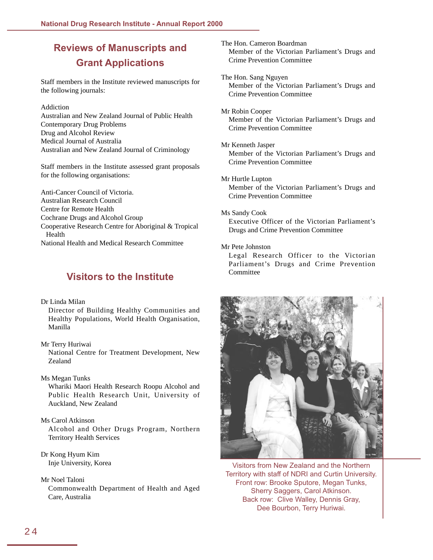## <span id="page-27-0"></span>**Reviews of Manuscripts and Grant Applications**

Staff members in the Institute reviewed manuscripts for the following journals:

#### Addiction

Australian and New Zealand Journal of Public Health Contemporary Drug Problems Drug and Alcohol Review Medical Journal of Australia Australian and New Zealand Journal of Criminology

Staff members in the Institute assessed grant proposals for the following organisations:

Anti-Cancer Council of Victoria. Australian Research Council Centre for Remote Health Cochrane Drugs and Alcohol Group Cooperative Research Centre for Aboriginal & Tropical Health National Health and Medical Research Committee

### **Visitors to the Institute**

Dr Linda Milan

Director of Building Healthy Communities and Healthy Populations, World Health Organisation, Manilla

Mr Terry Huriwai National Centre for Treatment Development, New Zealand

Ms Megan Tunks Whariki Maori Health Research Roopu Alcohol and Public Health Research Unit, University of Auckland, New Zealand

Ms Carol Atkinson Alcohol and Other Drugs Program, Northern Territory Health Services

Dr Kong Hyum Kim Inje University, Korea

Mr Noel Taloni

Commonwealth Department of Health and Aged Care, Australia

The Hon. Cameron Boardman Member of the Victorian Parliament's Drugs and Crime Prevention Committee

The Hon. Sang Nguyen Member of the Victorian Parliament's Drugs and Crime Prevention Committee

Mr Robin Cooper Member of the Victorian Parliament's Drugs and Crime Prevention Committee

- Mr Kenneth Jasper Member of the Victorian Parliament's Drugs and Crime Prevention Committee
- Mr Hurtle Lupton Member of the Victorian Parliament's Drugs and Crime Prevention Committee
- Ms Sandy Cook Executive Officer of the Victorian Parliament's Drugs and Crime Prevention Committee

### Mr Pete Johnston

Legal Research Officer to the Victorian Parliament's Drugs and Crime Prevention Committee



Visitors from New Zealand and the Northern Territory with staff of NDRI and Curtin University. Front row: Brooke Sputore, Megan Tunks, Sherry Saggers, Carol Atkinson. Back row: Clive Walley, Dennis Gray, Dee Bourbon, Terry Huriwai.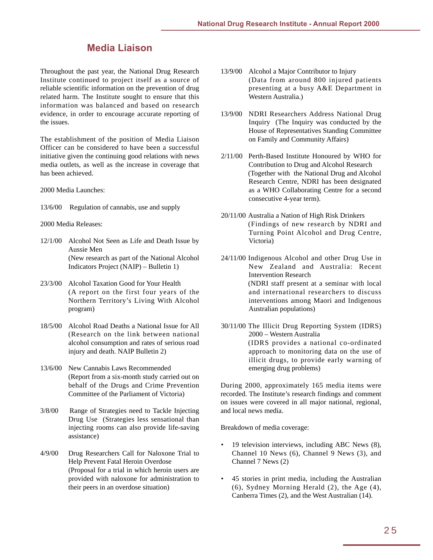### **Media Liaison**

<span id="page-28-0"></span>Throughout the past year, the National Drug Research Institute continued to project itself as a source of reliable scientific information on the prevention of drug related harm. The Institute sought to ensure that this information was balanced and based on research evidence, in order to encourage accurate reporting of the issues.

The establishment of the position of Media Liaison Officer can be considered to have been a successful initiative given the continuing good relations with news media outlets, as well as the increase in coverage that has been achieved.

2000 Media Launches:

13/6/00 Regulation of cannabis, use and supply

#### 2000 Media Releases:

- 12/1/00 Alcohol Not Seen as Life and Death Issue by Aussie Men (New research as part of the National Alcohol Indicators Project (NAIP) – Bulletin 1)
- 23/3/00 Alcohol Taxation Good for Your Health (A report on the first four years of the Northern Territory's Living With Alcohol program)
- 18/5/00 Alcohol Road Deaths a National Issue for All (Research on the link between national alcohol consumption and rates of serious road injury and death. NAIP Bulletin 2)
- 13/6/00 New Cannabis Laws Recommended (Report from a six-month study carried out on behalf of the Drugs and Crime Prevention Committee of the Parliament of Victoria)
- 3/8/00 Range of Strategies need to Tackle Injecting Drug Use (Strategies less sensational than injecting rooms can also provide life-saving assistance)
- 4/9/00 Drug Researchers Call for Naloxone Trial to Help Prevent Fatal Heroin Overdose (Proposal for a trial in which heroin users are provided with naloxone for administration to their peers in an overdose situation)
- 13/9/00 Alcohol a Major Contributor to Injury (Data from around 800 injured patients presenting at a busy A&E Department in Western Australia.)
- 13/9/00 NDRI Researchers Address National Drug Inquiry (The Inquiry was conducted by the House of Representatives Standing Committee on Family and Community Affairs)
- 2/11/00 Perth-Based Institute Honoured by WHO for Contribution to Drug and Alcohol Research (Together with the National Drug and Alcohol Research Centre, NDRI has been designated as a WHO Collaborating Centre for a second consecutive 4-year term).
- 20/11/00 Australia a Nation of High Risk Drinkers (Findings of new research by NDRI and Turning Point Alcohol and Drug Centre, Victoria)
- 24/11/00 Indigenous Alcohol and other Drug Use in New Zealand and Australia: Recent Intervention Research (NDRI staff present at a seminar with local and international researchers to discuss interventions among Maori and Indigenous Australian populations)
- 30/11/00 The Illicit Drug Reporting System (IDRS) 2000 – Western Australia (IDRS provides a national co-ordinated approach to monitoring data on the use of illicit drugs, to provide early warning of emerging drug problems)

During 2000, approximately 165 media items were recorded. The Institute's research findings and comment on issues were covered in all major national, regional, and local news media.

Breakdown of media coverage:

- 19 television interviews, including ABC News (8), Channel 10 News (6), Channel 9 News (3), and Channel 7 News (2)
- 45 stories in print media, including the Australian (6), Sydney Morning Herald (2), the Age (4), Canberra Times (2), and the West Australian (14).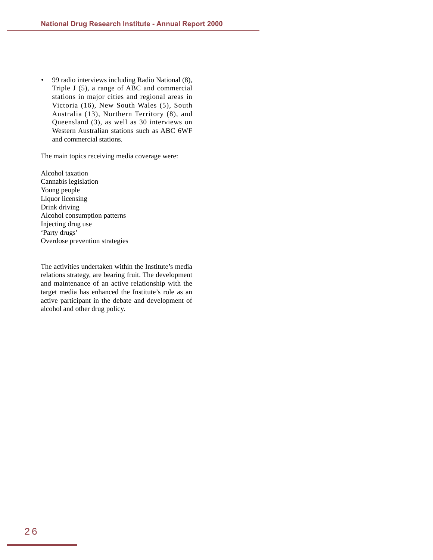• 99 radio interviews including Radio National (8), Triple J (5), a range of ABC and commercial stations in major cities and regional areas in Victoria (16), New South Wales (5), South Australia (13), Northern Territory (8), and Queensland (3), as well as 30 interviews on Western Australian stations such as ABC 6WF and commercial stations.

The main topics receiving media coverage were:

Alcohol taxation Cannabis legislation Young people Liquor licensing Drink driving Alcohol consumption patterns Injecting drug use 'Party drugs' Overdose prevention strategies

The activities undertaken within the Institute's media relations strategy, are bearing fruit. The development and maintenance of an active relationship with the target media has enhanced the Institute's role as an active participant in the debate and development of alcohol and other drug policy.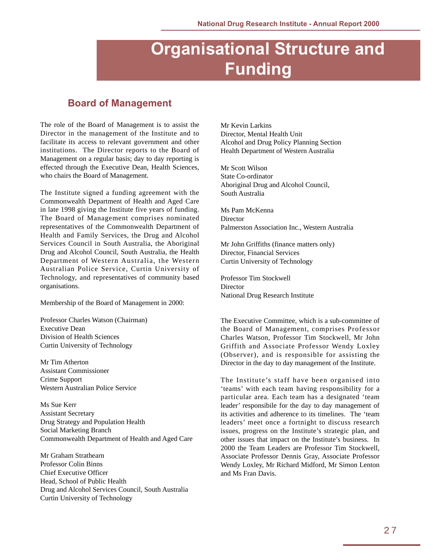# **Organisational Structure and Funding**

### <span id="page-30-0"></span>**Board of Management**

The role of the Board of Management is to assist the Director in the management of the Institute and to facilitate its access to relevant government and other institutions. The Director reports to the Board of Management on a regular basis; day to day reporting is effected through the Executive Dean, Health Sciences, who chairs the Board of Management.

The Institute signed a funding agreement with the Commonwealth Department of Health and Aged Care in late 1998 giving the Institute five years of funding. The Board of Management comprises nominated representatives of the Commonwealth Department of Health and Family Services, the Drug and Alcohol Services Council in South Australia, the Aboriginal Drug and Alcohol Council, South Australia, the Health Department of Western Australia, the Western Australian Police Service, Curtin University of Technology, and representatives of community based organisations.

Membership of the Board of Management in 2000:

Professor Charles Watson (Chairman) Executive Dean Division of Health Sciences Curtin University of Technology

Mr Tim Atherton Assistant Commissioner Crime Support Western Australian Police Service

Ms Sue Kerr Assistant Secretary Drug Strategy and Population Health Social Marketing Branch Commonwealth Department of Health and Aged Care

Mr Graham Strathearn Professor Colin Binns Chief Executive Officer Head, School of Public Health Drug and Alcohol Services Council, South Australia Curtin University of Technology

Mr Kevin Larkins Director, Mental Health Unit Alcohol and Drug Policy Planning Section Health Department of Western Australia

Mr Scott Wilson State Co-ordinator Aboriginal Drug and Alcohol Council, South Australia

Ms Pam McKenna **Director** Palmerston Association Inc., Western Australia

Mr John Griffiths (finance matters only) Director, Financial Services Curtin University of Technology

Professor Tim Stockwell **Director** National Drug Research Institute

The Executive Committee, which is a sub-committee of the Board of Management, comprises Professor Charles Watson, Professor Tim Stockwell, Mr John Griffith and Associate Professor Wendy Loxley (Observer), and is responsible for assisting the Director in the day to day management of the Institute.

The Institute's staff have been organised into 'teams' with each team having responsibility for a particular area. Each team has a designated 'team leader' responsibile for the day to day management of its activities and adherence to its timelines. The 'team leaders' meet once a fortnight to discuss research issues, progress on the Institute's strategic plan, and other issues that impact on the Institute's business. In 2000 the Team Leaders are Professor Tim Stockwell, Associate Professor Dennis Gray, Associate Professor Wendy Loxley, Mr Richard Midford, Mr Simon Lenton and Ms Fran Davis.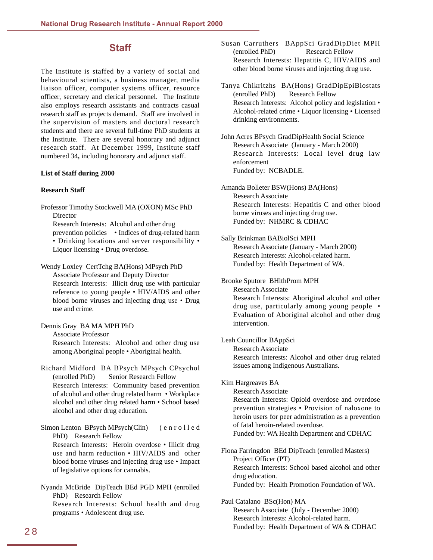### **Staff**

<span id="page-31-0"></span>The Institute is staffed by a variety of social and behavioural scientists, a business manager, media liaison officer, computer systems officer, resource officer, secretary and clerical personnel. The Institute also employs research assistants and contracts casual research staff as projects demand. Staff are involved in the supervision of masters and doctoral research students and there are several full-time PhD students at the Institute. There are several honorary and adjunct research staff. At December 1999, Institute staff numbered 34**,** including honorary and adjunct staff.

#### **List of Staff during 2000**

#### **Research Staff**

Professor Timothy Stockwell MA (OXON) MSc PhD Director Research Interests: Alcohol and other drug prevention policies • Indices of drug-related harm • Drinking locations and server responsibility • Liquor licensing • Drug overdose.

Wendy Loxley CertTchg BA(Hons) MPsych PhD Associate Professor and Deputy Director Research Interests: Illicit drug use with particular reference to young people • HIV/AIDS and other blood borne viruses and injecting drug use • Drug use and crime.

Associate Professor Research Interests: Alcohol and other drug use among Aboriginal people • Aboriginal health.

Dennis Gray BA MA MPH PhD

Richard Midford BA BPsych MPsych CPsychol (enrolled PhD) Senior Research Fellow Research Interests: Community based prevention of alcohol and other drug related harm • Workplace alcohol and other drug related harm • School based alcohol and other drug education.

Simon Lenton BPsych MPsych(Clin) (enrolled PhD) Research Fellow

Research Interests: Heroin overdose • Illicit drug use and harm reduction • HIV/AIDS and other blood borne viruses and injecting drug use • Impact of legislative options for cannabis.

Nyanda McBride DipTeach BEd PGD MPH (enrolled PhD) Research Fellow Research Interests: School health and drug programs • Adolescent drug use.

Susan Carruthers BAppSci GradDipDiet MPH (enrolled PhD) Research Fellow Research Interests: Hepatitis C, HIV/AIDS and other blood borne viruses and injecting drug use.

Tanya Chikritzhs BA(Hons) GradDipEpiBiostats (enrolled PhD) Research Fellow Research Interests: Alcohol policy and legislation • Alcohol-related crime • Liquor licensing • Licensed drinking environments.

John Acres BPsych GradDipHealth Social Science Research Associate (January - March 2000) Research Interests: Local level drug law enforcement Funded by: NCBADLE.

Amanda Bolleter BSW(Hons) BA(Hons) Research Associate Research Interests: Hepatitis C and other blood borne viruses and injecting drug use. Funded by: NHMRC & CDHAC

#### Sally Brinkman BABiolSci MPH

Research Associate (January - March 2000) Research Interests: Alcohol-related harm. Funded by: Health Department of WA.

Brooke Sputore BHlthProm MPH

Research Associate

Research Interests: Aboriginal alcohol and other drug use, particularly among young people • Evaluation of Aboriginal alcohol and other drug intervention.

Leah Councillor BAppSci

Research Associate

Research Interests: Alcohol and other drug related issues among Indigenous Australians.

Kim Hargreaves BA

Research Associate

Research Interests: Opioid overdose and overdose prevention strategies • Provision of naloxone to heroin users for peer administration as a prevention of fatal heroin-related overdose. Funded by: WA Health Department and CDHAC

Fiona Farringdon BEd DipTeach (enrolled Masters) Project Officer (PT) Research Interests: School based alcohol and other drug education. Funded by: Health Promotion Foundation of WA.

Paul Catalano BSc(Hon) MA Research Associate (July - December 2000) Research Interests: Alcohol-related harm. Funded by: Health Department of WA & CDHAC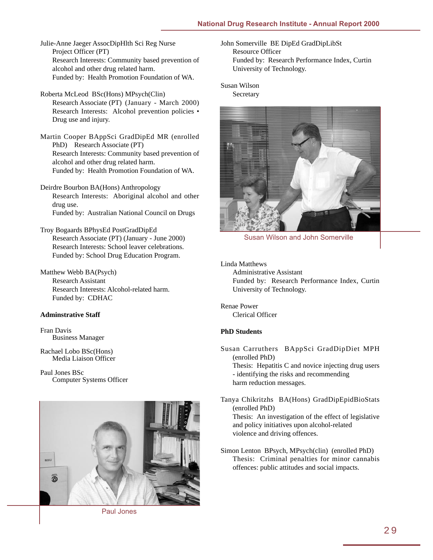Julie-Anne Jaeger AssocDipHlth Sci Reg Nurse Project Officer (PT) Research Interests: Community based prevention of alcohol and other drug related harm. Funded by: Health Promotion Foundation of WA.

- Roberta McLeod BSc(Hons) MPsych(Clin) Research Associate (PT) (January - March 2000) Research Interests: Alcohol prevention policies • Drug use and injury.
- Martin Cooper BAppSci GradDipEd MR (enrolled PhD) Research Associate (PT) Research Interests: Community based prevention of alcohol and other drug related harm. Funded by: Health Promotion Foundation of WA.
- Deirdre Bourbon BA(Hons) Anthropology Research Interests: Aboriginal alcohol and other drug use. Funded by: Australian National Council on Drugs
- Troy Bogaards BPhysEd PostGradDipEd Research Associate (PT) (January - June 2000) Research Interests: School leaver celebrations. Funded by: School Drug Education Program.
- Matthew Webb BA(Psych) Research Assistant Research Interests: Alcohol-related harm. Funded by: CDHAC

### **Adminstrative Staff**

Fran Davis Business Manager

Rachael Lobo BSc(Hons) Media Liaison Officer

Paul Jones BSc Computer Systems Officer



Paul Jones

John Somerville BE DipEd GradDipLibSt Resource Officer Funded by: Research Performance Index, Curtin University of Technology.

Susan Wilson **Secretary** 



Susan Wilson and John Somerville

Linda Matthews

Administrative Assistant Funded by: Research Performance Index, Curtin University of Technology.

Renae Power Clerical Officer

### **PhD Students**

Susan Carruthers BAppSci GradDipDiet MPH (enrolled PhD) Thesis: Hepatitis C and novice injecting drug users - identifying the risks and recommending harm reduction messages.

- Tanya Chikritzhs BA(Hons) GradDipEpidBioStats (enrolled PhD) Thesis: An investigation of the effect of legislative and policy initiatives upon alcohol-related violence and driving offences.
- Simon Lenton BPsych, MPsych(clin) (enrolled PhD) Thesis: Criminal penalties for minor cannabis offences: public attitudes and social impacts.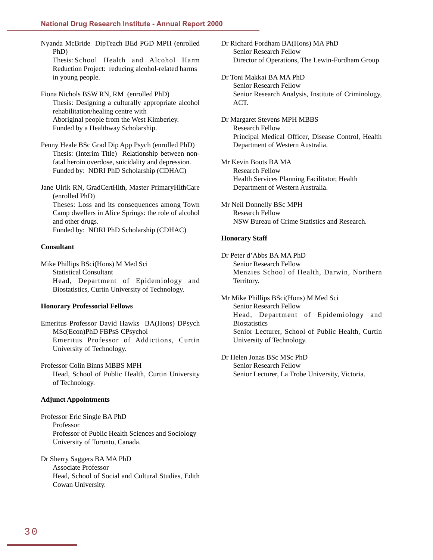Nyanda McBride DipTeach BEd PGD MPH (enrolled PhD) Thesis: School Health and Alcohol Harm Reduction Project: reducing alcohol-related harms in young people.

Fiona Nichols BSW RN, RM (enrolled PhD) Thesis: Designing a culturally appropriate alcohol rehabilitation/healing centre with Aboriginal people from the West Kimberley. Funded by a Healthway Scholarship.

Penny Heale BSc Grad Dip App Psych (enrolled PhD) Thesis: (Interim Title) Relationship between nonfatal heroin overdose, suicidality and depression. Funded by: NDRI PhD Scholarship (CDHAC)

Jane Ulrik RN, GradCertHlth, Master PrimaryHlthCare (enrolled PhD) Theses: Loss and its consequences among Town Camp dwellers in Alice Springs: the role of alcohol and other drugs. Funded by: NDRI PhD Scholarship (CDHAC)

#### **Consultant**

Mike Phillips BSci(Hons) M Med Sci Statistical Consultant Head, Department of Epidemiology and Biostatistics, Curtin University of Technology.

#### **Honorary Professorial Fellows**

Emeritus Professor David Hawks BA(Hons) DPsych MSc(Econ)PhD FBPsS CPsychol Emeritus Professor of Addictions, Curtin University of Technology.

Professor Colin Binns MBBS MPH Head, School of Public Health, Curtin University of Technology.

#### **Adjunct Appointments**

Professor Eric Single BA PhD Professor Professor of Public Health Sciences and Sociology University of Toronto, Canada.

Dr Sherry Saggers BA MA PhD Associate Professor Head, School of Social and Cultural Studies, Edith Cowan University.

Dr Richard Fordham BA(Hons) MA PhD Senior Research Fellow Director of Operations, The Lewin-Fordham Group

Dr Toni Makkai BA MA PhD Senior Research Fellow Senior Research Analysis, Institute of Criminology, ACT.

Dr Margaret Stevens MPH MBBS Research Fellow Principal Medical Officer, Disease Control, Health Department of Western Australia.

Mr Kevin Boots BA MA Research Fellow Health Services Planning Facilitator, Health Department of Western Australia.

Mr Neil Donnelly BSc MPH Research Fellow NSW Bureau of Crime Statistics and Research.

#### **Honorary Staff**

Dr Peter d'Abbs BA MA PhD Senior Research Fellow Menzies School of Health, Darwin, Northern Territory.

Mr Mike Phillips BSci(Hons) M Med Sci Senior Research Fellow Head, Department of Epidemiology and **Biostatistics** Senior Lecturer, School of Public Health, Curtin University of Technology.

Dr Helen Jonas BSc MSc PhD Senior Research Fellow Senior Lecturer, La Trobe University, Victoria.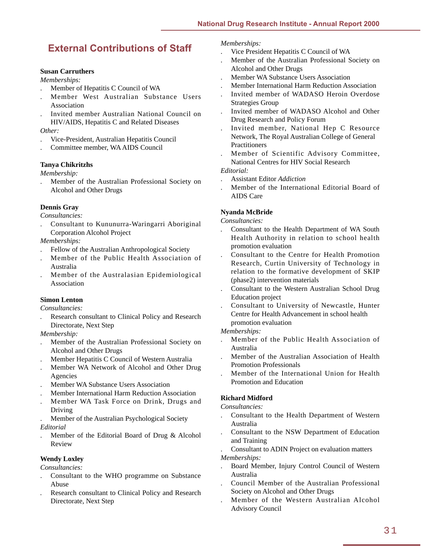### <span id="page-34-0"></span>**External Contributions of Staff**

### **Susan Carruthers**

*Memberships:*

- . Member of Hepatitis C Council of WA
- . Member West Australian Substance Users Association
- . Invited member Australian National Council on HIV/AIDS, Hepatitis C and Related Diseases

*Other:*

- . Vice-President, Australian Hepatitis Council
- . Committee member, WA AIDS Council

### **Tanya Chikritzhs**

*Membership:*

. Member of the Australian Professional Society on Alcohol and Other Drugs

### **Dennis Gray**

*Consultancies:*

. Consultant to Kununurra-Waringarri Aboriginal Corporation Alcohol Project

*Memberships:*

- . Fellow of the Australian Anthropological Society
- . Member of the Public Health Association of Australia
- . Member of the Australasian Epidemiological Association

### **Simon Lenton**

*Consultancies:*

Research consultant to Clinical Policy and Research Directorate, Next Step

*Membership:*

- . Member of the Australian Professional Society on Alcohol and Other Drugs
- . Member Hepatitis C Council of Western Australia
- . Member WA Network of Alcohol and Other Drug Agencies
- . Member WA Substance Users Association
- . Member International Harm Reduction Association
- . Member WA Task Force on Drink, Drugs and Driving

. Member of the Australian Psychological Society *Editorial*

. Member of the Editorial Board of Drug & Alcohol Review

### **Wendy Loxley**

*Consultancies:*

- . Consultant to the WHO programme on Substance Abuse
- Research consultant to Clinical Policy and Research Directorate, Next Step

#### *Memberships:*

- . Vice President Hepatitis C Council of WA
- . Member of the Australian Professional Society on Alcohol and Other Drugs
- . Member WA Substance Users Association
- . Member International Harm Reduction Association
- . Invited member of WADASO Heroin Overdose Strategies Group
- . Invited member of WADASO Alcohol and Other Drug Research and Policy Forum
- . Invited member, National Hep C Resource Network, The Royal Australian College of General **Practitioners**
- . Member of Scientific Advisory Committee, National Centres for HIV Social Research

*Editorial:*

- . Assistant Editor *Addiction*
- . Member of the International Editorial Board of AIDS Care

### **Nyanda McBride**

*Consultancies:*

- *.* Consultant to the Health Department of WA South Health Authority in relation to school health promotion evaluation
- . Consultant to the Centre for Health Promotion Research, Curtin University of Technology in relation to the formative development of SKIP (phase2) intervention materials
- . Consultant to the Western Australian School Drug Education project
- . Consultant to University of Newcastle, Hunter Centre for Health Advancement in school health promotion evaluation
- *Memberships:*
- . Member of the Public Health Association of Australia
- . Member of the Australian Association of Health Promotion Professionals
- . Member of the International Union for Health Promotion and Education

### **Richard Midford**

*Consultancies:*

- . Consultant to the Health Department of Western Australia
- . Consultant to the NSW Department of Education and Training
- . Consultant to ADIN Project on evaluation matters

### *Memberships:*

- . Board Member, Injury Control Council of Western Australia
- . Council Member of the Australian Professional Society on Alcohol and Other Drugs
- . Member of the Western Australian Alcohol Advisory Council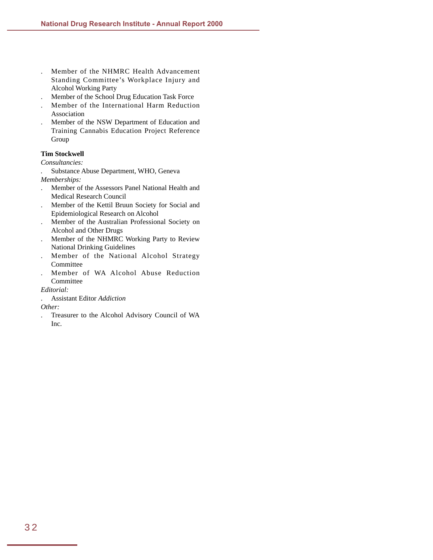- . Member of the NHMRC Health Advancement Standing Committee's Workplace Injury and Alcohol Working Party
- . Member of the School Drug Education Task Force
- . Member of the International Harm Reduction Association
- . Member of the NSW Department of Education and Training Cannabis Education Project Reference Group

### **Tim Stockwell**

*Consultancies:*

*.* Substance Abuse Department, WHO, Geneva *Memberships:*

- . Member of the Assessors Panel National Health and Medical Research Council
- . Member of the Kettil Bruun Society for Social and Epidemiological Research on Alcohol
- . Member of the Australian Professional Society on Alcohol and Other Drugs
- . Member of the NHMRC Working Party to Review National Drinking Guidelines
- . Member of the National Alcohol Strategy Committee
- . Member of WA Alcohol Abuse Reduction Committee

*Editorial:*

. Assistant Editor *Addiction*

*Other:*

. Treasurer to the Alcohol Advisory Council of WA Inc.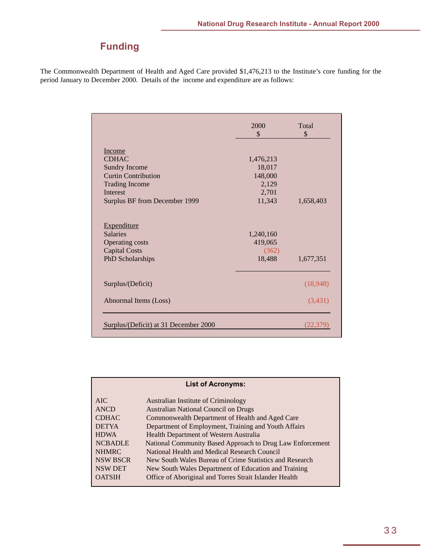## **Funding**

<span id="page-36-0"></span>The Commonwealth Department of Health and Aged Care provided \$1,476,213 to the Institute's core funding for the period January to December 2000. Details of the income and expenditure are as follows:

|                                       | 2000<br>$\mathcal{S}$ | Total<br>\$ |
|---------------------------------------|-----------------------|-------------|
| Income                                |                       |             |
| <b>CDHAC</b>                          | 1,476,213             |             |
| <b>Sundry Income</b>                  | 18,017                |             |
| <b>Curtin Contribution</b>            | 148,000               |             |
| <b>Trading Income</b>                 | 2,129                 |             |
| <b>Interest</b>                       | 2,701                 |             |
| Surplus BF from December 1999         | 11,343                | 1,658,403   |
| <b>Expenditure</b>                    |                       |             |
| <b>Salaries</b>                       | 1,240,160             |             |
| <b>Operating costs</b>                | 419,065               |             |
| <b>Capital Costs</b>                  | (362)                 |             |
| PhD Scholarships                      | 18,488                | 1,677,351   |
| Surplus/(Deficit)                     |                       | (18,948)    |
| Abnormal Items (Loss)                 |                       | (3,431)     |
| Surplus/(Deficit) at 31 December 2000 |                       | (22.379     |

|                 | <b>List of Acronyms:</b>                                  |
|-----------------|-----------------------------------------------------------|
| AIC             | Australian Institute of Criminology                       |
| ANCD            | <b>Australian National Council on Drugs</b>               |
| <b>CDHAC</b>    | Commonwealth Department of Health and Aged Care           |
| <b>DETYA</b>    | Department of Employment, Training and Youth Affairs      |
| <b>HDWA</b>     | Health Department of Western Australia                    |
| <b>NCBADLE</b>  | National Community Based Approach to Drug Law Enforcement |
| <b>NHMRC</b>    | National Health and Medical Research Council              |
| <b>NSW BSCR</b> | New South Wales Bureau of Crime Statistics and Research   |
| <b>NSW DET</b>  | New South Wales Department of Education and Training      |
| <b>OATSIH</b>   | Office of Aboriginal and Torres Strait Islander Health    |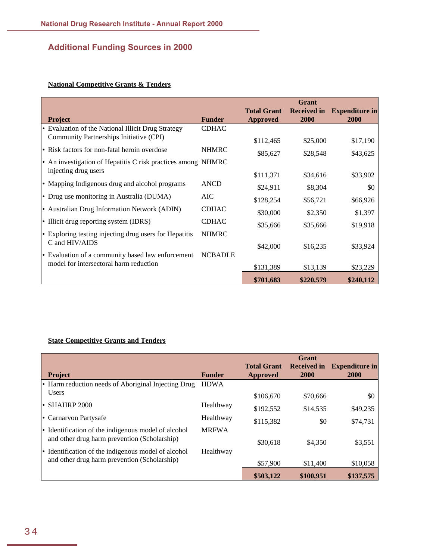### **Additional Funding Sources in 2000**

### **National Competitive Grants & Tenders**

| <b>Project</b>                                               | <b>Funder</b>  | <b>Total Grant</b><br><b>Approved</b> | Grant<br><b>Received in</b><br><b>2000</b> | <b>Expenditure in</b><br>2000 |
|--------------------------------------------------------------|----------------|---------------------------------------|--------------------------------------------|-------------------------------|
| • Evaluation of the National Illicit Drug Strategy           | <b>CDHAC</b>   |                                       |                                            |                               |
| Community Partnerships Initiative (CPI)                      |                | \$112,465                             | \$25,000                                   | \$17,190                      |
| • Risk factors for non-fatal heroin overdose                 | <b>NHMRC</b>   | \$85,627                              | \$28,548                                   | \$43,625                      |
| • An investigation of Hepatitis C risk practices among NHMRC |                |                                       |                                            |                               |
| injecting drug users                                         |                | \$111,371                             | \$34,616                                   | \$33,902                      |
| • Mapping Indigenous drug and alcohol programs               | <b>ANCD</b>    | \$24,911                              | \$8,304                                    | \$0                           |
| • Drug use monitoring in Australia (DUMA)                    | AIC            | \$128,254                             | \$56,721                                   | \$66,926                      |
| • Australian Drug Information Network (ADIN)                 | <b>CDHAC</b>   | \$30,000                              | \$2,350                                    | \$1,397                       |
| • Illicit drug reporting system (IDRS)                       | <b>CDHAC</b>   | \$35,666                              | \$35,666                                   | \$19,918                      |
| • Exploring testing injecting drug users for Hepatitis       | <b>NHMRC</b>   |                                       |                                            |                               |
| C and HIV/AIDS                                               |                | \$42,000                              | \$16,235                                   | \$33,924                      |
| • Evaluation of a community based law enforcement            | <b>NCBADLE</b> |                                       |                                            |                               |
| model for intersectoral harm reduction                       |                | \$131,389                             | \$13,139                                   | \$23,229                      |
|                                                              |                | \$701,683                             | \$220,579                                  | \$240,112                     |

### **State Competitive Grants and Tenders**

|       | <b>Project</b>                                                                                      | <b>Funder</b> | <b>Total Grant</b><br>Approved | Grant<br><b>Received in</b><br>2000 | <b>Expenditure in</b><br>2000 |
|-------|-----------------------------------------------------------------------------------------------------|---------------|--------------------------------|-------------------------------------|-------------------------------|
|       | • Harm reduction needs of Aboriginal Injecting Drug                                                 | <b>HDWA</b>   |                                |                                     |                               |
|       | <b>Users</b>                                                                                        |               | \$106,670                      | \$70,666                            | \$0                           |
| l e l | <b>SHAHRP 2000</b>                                                                                  | Healthway     | \$192,552                      | \$14,535                            | \$49,235                      |
|       | • Carnarvon Partysafe                                                                               | Healthway     | \$115,382                      | \$0                                 | \$74,731                      |
|       | • Identification of the indigenous model of alcohol<br>and other drug harm prevention (Scholarship) | <b>MRFWA</b>  | \$30,618                       | \$4,350                             | \$3,551                       |
|       | • Identification of the indigenous model of alcohol                                                 | Healthway     |                                |                                     |                               |
|       | and other drug harm prevention (Scholarship)                                                        |               | \$57,900                       | \$11,400                            | \$10,058                      |
|       |                                                                                                     |               | \$503,122                      | \$100,951                           | \$137,575                     |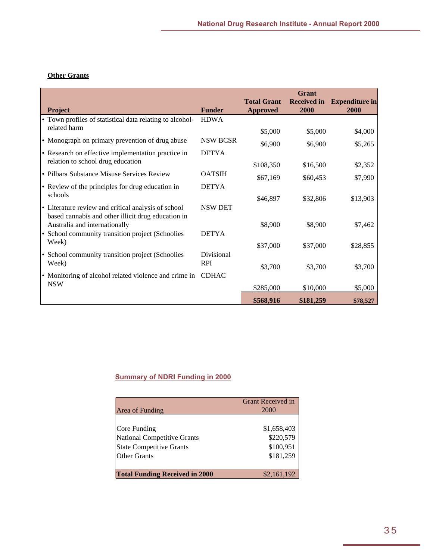### **Other Grants**

|                                                                                                           |                          |                                       | <b>Grant</b>               |                               |
|-----------------------------------------------------------------------------------------------------------|--------------------------|---------------------------------------|----------------------------|-------------------------------|
| Project                                                                                                   | <b>Funder</b>            | <b>Total Grant</b><br><b>Approved</b> | <b>Received in</b><br>2000 | <b>Expenditure in</b><br>2000 |
| • Town profiles of statistical data relating to alcohol-                                                  | <b>HDWA</b>              |                                       |                            |                               |
| related harm                                                                                              |                          | \$5,000                               | \$5,000                    | \$4,000                       |
| • Monograph on primary prevention of drug abuse                                                           | <b>NSW BCSR</b>          | \$6,900                               | \$6,900                    | \$5,265                       |
| • Research on effective implementation practice in                                                        | <b>DETYA</b>             |                                       |                            |                               |
| relation to school drug education                                                                         |                          | \$108,350                             | \$16,500                   | \$2,352                       |
| • Pilbara Substance Misuse Services Review                                                                | <b>OATSIH</b>            | \$67,169                              | \$60,453                   | \$7,990                       |
| • Review of the principles for drug education in                                                          | <b>DETYA</b>             |                                       |                            |                               |
| schools                                                                                                   |                          | \$46,897                              | \$32,806                   | \$13,903                      |
| • Literature review and critical analysis of school<br>based cannabis and other illicit drug education in | <b>NSW DET</b>           |                                       |                            |                               |
| Australia and internationally                                                                             |                          | \$8,900                               | \$8,900                    | \$7,462                       |
| • School community transition project (Schoolies<br>Week)                                                 | <b>DETYA</b>             |                                       |                            |                               |
|                                                                                                           |                          | \$37,000                              | \$37,000                   | \$28,855                      |
| • School community transition project (Schoolies<br>Week)                                                 | Divisional<br><b>RPI</b> | \$3,700                               | \$3,700                    | \$3,700                       |
| • Monitoring of alcohol related violence and crime in                                                     | <b>CDHAC</b>             |                                       |                            |                               |
| <b>NSW</b>                                                                                                |                          | \$285,000                             | \$10,000                   | \$5,000                       |
|                                                                                                           |                          | \$568,916                             | \$181,259                  | \$78,527                      |

### **Summary of NDRI Funding in 2000**

| Area of Funding                       | <b>Grant Received in</b><br><b>2000</b> |
|---------------------------------------|-----------------------------------------|
|                                       |                                         |
| Core Funding                          | \$1,658,403                             |
| National Competitive Grants           | \$220,579                               |
| <b>State Competitive Grants</b>       | \$100,951                               |
| Other Grants                          | \$181,259                               |
|                                       |                                         |
| <b>Total Funding Received in 2000</b> | \$2,161,192                             |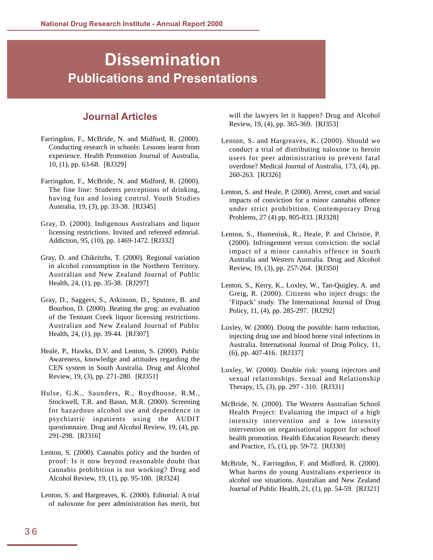# <span id="page-39-0"></span>**Dissemination Publications and Presentations**

### **Journal Articles**

- Farringdon, F., McBride, N. and Midford, R. (2000). Conducting research in schools: Lessons learnt from experience. Health Promotion Journal of Australia, 10, (1), pp. 63-68. [RJ329]
- Farringdon, F., McBride, N. and Midford, R. (2000). The fine line: Students perceptions of drinking, having fun and losing control. Youth Studies Australia, 19, (3), pp. 33-38. [RJ345]
- Gray, D. (2000). Indigenous Australians and liquor licensing restrictions. Invited and refereed editorial. Addiction, 95, (10), pp. 1469-1472. [RJ332]
- Gray, D. and Chikritzhs, T. (2000). Regional variation in alcohol consumption in the Northern Territory. Australian and New Zealand Journal of Public Health, 24, (1), pp. 35-38. [RJ297]
- Gray, D., Saggers, S., Atkinson, D., Sputore, B. and Bourbon, D. (2000). Beating the grog: an evaluation of the Tennant Creek liquor licensing restrictions. Australian and New Zealand Journal of Public Health, 24, (1), pp. 39-44. [RJ307]
- Heale, P., Hawks, D.V. and Lenton, S. (2000). Public Awareness, knowledge and attitudes regarding the CEN system in South Australia. Drug and Alcohol Review, 19, (3), pp. 271-280. [RJ351]
- Hulse, G.K., Saunders, R., Roydhouse, R.M., Stockwell, T.R. and Basso, M.R. (2000). Screening for hazardous alcohol use and dependence in psychiatric inpatients using the AUDIT questionnaire. Drug and Alcohol Review, 19, (4), pp. 291-298. [RJ316]
- Lenton, S. (2000). Cannabis policy and the burden of proof: Is it now beyond reasonable doubt that cannabis prohibition is not working? Drug and Alcohol Review, 19, (1), pp. 95-100. [RJ324]
- Lenton, S. and Hargreaves, K. (2000). Editorial: A trial of naloxone for peer administration has merit, but

will the lawyers let it happen? Drug and Alcohol Review, 19, (4), pp. 365-369. [RJ353]

- Lenton, S. and Hargreaves, K. (2000). Should we conduct a trial of distributing naloxone to heroin users for peer administration to prevent fatal overdose? Medical Journal of Australia, 173, (4), pp. 260-263. [RJ326]
- Lenton, S. and Heale, P. (2000). Arrest, court and social impacts of conviction for a minor cannabis offence under strict prohibition. Contemporary Drug Problems, 27 (4) pp. 805-833. [RJ328]
- Lenton, S., Humeniuk, R., Heale, P. and Christie, P. (2000). Infringement versus conviction: the social impact of a minor cannabis offence in South Australia and Western Australia. Drug and Alcohol Review, 19, (3), pp. 257-264. [RJ350]
- Lenton, S., Kerry, K., Loxley, W., Tan-Quigley, A. and Greig, R. (2000). Citizens who inject drugs: the 'Fitpack' study. The International Journal of Drug Policy, 11, (4), pp. 285-297. [RJ292]
- Loxley, W. (2000). Doing the possible: harm reduction, injecting drug use and blood borne viral infections in Australia. International Journal of Drug Policy, 11, (6), pp. 407-416. [RJ337]
- Loxley, W. (2000). Double risk: young injectors and sexual relationships. Sexual and Relationship Therapy, 15, (3), pp. 297 - 310. [RJ331]
- McBride, N. (2000). The Western Australian School Health Project: Evaluating the impact of a high intensity intervention and a low intensity intervention on organisational support for school health promotion. Health Education Research: theory and Practice, 15, (1), pp. 59-72. [RJ330]
- McBride, N., Farringdon, F. and Midford, R. (2000). What harms do young Australians experience in alcohol use situations. Australian and New Zealand Journal of Public Health, 21, (1), pp. 54-59. [RJ321]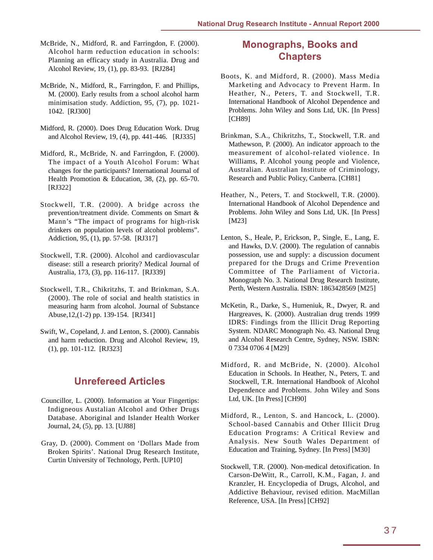- <span id="page-40-0"></span>McBride, N., Midford, R. and Farringdon, F. (2000). Alcohol harm reduction education in schools: Planning an efficacy study in Australia. Drug and Alcohol Review, 19, (1), pp. 83-93. [RJ284]
- McBride, N., Midford, R., Farringdon, F. and Phillips, M. (2000). Early results from a school alcohol harm minimisation study. Addiction, 95, (7), pp. 1021- 1042. [RJ300]
- Midford, R. (2000). Does Drug Education Work. Drug and Alcohol Review, 19, (4), pp. 441-446. [RJ335]
- Midford, R., McBride, N. and Farringdon, F. (2000). The impact of a Youth Alcohol Forum: What changes for the participants? International Journal of Health Promotion & Education, 38, (2), pp. 65-70. [RJ322]
- Stockwell, T.R. (2000). A bridge across the prevention/treatment divide. Comments on Smart & Mann's "The impact of programs for high-risk drinkers on population levels of alcohol problems". Addiction, 95, (1), pp. 57-58. [RJ317]
- Stockwell, T.R. (2000). Alcohol and cardiovascular disease: still a research priority? Medical Journal of Australia, 173, (3), pp. 116-117. [RJ339]
- Stockwell, T.R., Chikritzhs, T. and Brinkman, S.A. (2000). The role of social and health statistics in measuring harm from alcohol. Journal of Substance Abuse,12,(1-2) pp. 139-154. [RJ341]
- Swift, W., Copeland, J. and Lenton, S. (2000). Cannabis and harm reduction. Drug and Alcohol Review, 19, (1), pp. 101-112. [RJ323]

### **Unrefereed Articles**

- Councillor, L. (2000). Information at Your Fingertips: Indigneous Austalian Alcohol and Other Drugs Database. Aboriginal and Islander Health Worker Journal, 24, (5), pp. 13. [UJ88]
- Gray, D. (2000). Comment on 'Dollars Made from Broken Spirits'. National Drug Research Institute, Curtin University of Technology, Perth. [UP10]

### **Monographs, Books and Chapters**

- Boots, K. and Midford, R. (2000). Mass Media Marketing and Advocacy to Prevent Harm. In Heather, N., Peters, T. and Stockwell, T.R. International Handbook of Alcohol Dependence and Problems. John Wiley and Sons Ltd, UK. [In Press] [CH89]
- Brinkman, S.A., Chikritzhs, T., Stockwell, T.R. and Mathewson, P. (2000). An indicator approach to the measurement of alcohol-related violence. In Williams, P. Alcohol young people and Violence, Australian. Australian Institute of Criminology, Research and Public Policy, Canberra. [CH81]
- Heather, N., Peters, T. and Stockwell, T.R. (2000). International Handbook of Alcohol Dependence and Problems. John Wiley and Sons Ltd, UK. [In Press] [M23]
- Lenton, S., Heale, P., Erickson, P., Single, E., Lang, E. and Hawks, D.V. (2000). The regulation of cannabis possession, use and supply: a discussion document prepared for the Drugs and Crime Prevention Committee of The Parliament of Victoria. Monograph No. 3. National Drug Research Institute, Perth, Western Australia. ISBN: 1863428569 [M25]
- McKetin, R., Darke, S., Humeniuk, R., Dwyer, R. and Hargreaves, K. (2000). Australian drug trends 1999 IDRS: Findings from the Illicit Drug Reporting System. NDARC Monograph No. 43. National Drug and Alcohol Research Centre, Sydney, NSW. ISBN: 0 7334 0706 4 [M29]
- Midford, R. and McBride, N. (2000). Alcohol Education in Schools. In Heather, N., Peters, T. and Stockwell, T.R. International Handbook of Alcohol Dependence and Problems. John Wiley and Sons Ltd, UK. [In Press] [CH90]
- Midford, R., Lenton, S. and Hancock, L. (2000). School-based Cannabis and Other Illicit Drug Education Programs: A Critical Review and Analysis. New South Wales Department of Education and Training, Sydney. [In Press] [M30]
- Stockwell, T.R. (2000). Non-medical detoxification. In Carson-DeWitt, R., Carroll, K.M., Fagan, J. and Kranzler, H. Encyclopedia of Drugs, Alcohol, and Addictive Behaviour, revised edition. MacMillan Reference, USA. [In Press] [CH92]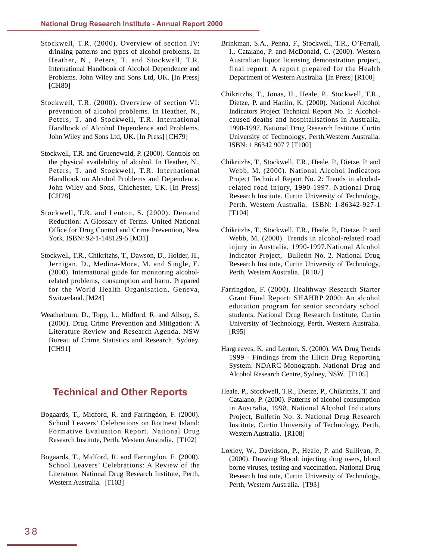- <span id="page-41-0"></span>Stockwell, T.R. (2000). Overview of section IV: drinking patterns and types of alcohol problems. In Heather, N., Peters, T. and Stockwell, T.R. International Handbook of Alcohol Dependence and Problems. John Wiley and Sons Ltd, UK. [In Press] [CH80]
- Stockwell, T.R. (2000). Overview of section VI: prevention of alcohol problems. In Heather, N., Peters, T. and Stockwell, T.R. International Handbook of Alcohol Dependence and Problems. John Wiley and Sons Ltd, UK. [In Press] [CH79]
- Stockwell, T.R. and Gruenewald, P. (2000). Controls on the physical availability of alcohol. In Heather, N., Peters, T. and Stockwell, T.R. International Handbook on Alcohol Problems and Dependence. John Wiley and Sons, Chichester, UK. [In Press] [CH78]
- Stockwell, T.R. and Lenton, S. (2000). Demand Reduction: A Glossary of Terms. United National Office for Drug Control and Crime Prevention, New York. ISBN: 92-1-148129-5 [M31]
- Stockwell, T.R., Chikritzhs, T., Dawson, D., Holder, H., Jernigan, D., Medina-Mora, M. and Single, E. (2000). International guide for monitoring alcoholrelated problems, consumption and harm. Prepared for the World Health Organisation, Geneva, Switzerland. [M24]
- Weatherburn, D., Topp, L., Midford, R. and Allsop, S. (2000). Drug Crime Prevention and Mitigation: A Literature Review and Research Agenda. NSW Bureau of Crime Statistics and Research, Sydney. [CH91]

### **Technical and Other Reports**

- Bogaards, T., Midford, R. and Farringdon, F. (2000). School Leavers' Celebrations on Rottnest Island: Formative Evaluation Report. National Drug Research Institute, Perth, Western Australia. [T102]
- Bogaards, T., Midford, R. and Farringdon, F. (2000). School Leavers' Celebrations: A Review of the Literature. National Drug Research Institute, Perth, Western Australia. [T103]
- Brinkman, S.A., Penna, F., Stockwell, T.R., O'Ferrall, I., Catalano, P. and McDonald, C. (2000). Western Australian liquor licensing demonstration project, final report. A report prepared for the Health Department of Western Australia. [In Press] [R100]
- Chikritzhs, T., Jonas, H., Heale, P., Stockwell, T.R., Dietze, P. and Hanlin, K. (2000). National Alcohol Indicators Project Technical Report No. 1: Alcoholcaused deaths and hospitalisations in Australia, 1990-1997. National Drug Research Institute. Curtin University of Technology, Perth,Western Australia. ISBN: 1 86342 907 7 [T100]
- Chikritzhs, T., Stockwell, T.R., Heale, P., Dietze, P. and Webb, M. (2000). National Alcohol Indicators Project Technical Report No. 2: Trends in alcoholrelated road injury, 1990-1997. National Drug Research Institute. Curtin University of Technology, Perth, Western Australia. ISBN: 1-86342-927-1 [T104]
- Chikritzhs, T., Stockwell, T.R., Heale, P., Dietze, P. and Webb, M. (2000). Trends in alcohol-related road injury in Australia, 1990-1997.National Alcohol Indicator Project, Bulletin No. 2. National Drug Research Institute, Curtin University of Technology, Perth, Western Australia. [R107]
- Farringdon, F. (2000). Healthway Research Starter Grant Final Report: SHAHRP 2000: An alcohol education program for senior secondary school students. National Drug Research Institute, Curtin University of Technology, Perth, Western Australia. [R95]
- Hargreaves, K. and Lenton, S. (2000). WA Drug Trends 1999 - Findings from the Illicit Drug Reporting System. NDARC Monograph. National Drug and Alcohol Research Centre, Sydney, NSW. [T105]
- Heale, P., Stockwell, T.R., Dietze, P., Chikritzhs, T. and Catalano, P. (2000). Patterns of alcohol consumption in Australia, 1998. National Alcohol Indicators Project, Bulletin No. 3. National Drug Research Institute, Curtin University of Technology, Perth, Western Australia. [R108]
- Loxley, W., Davidson, P., Heale, P. and Sullivan, P. (2000). Drawing Blood: injecting drug users, blood borne viruses, testing and vaccination. National Drug Research Institute, Curtin University of Technology, Perth, Western Australia. [T93]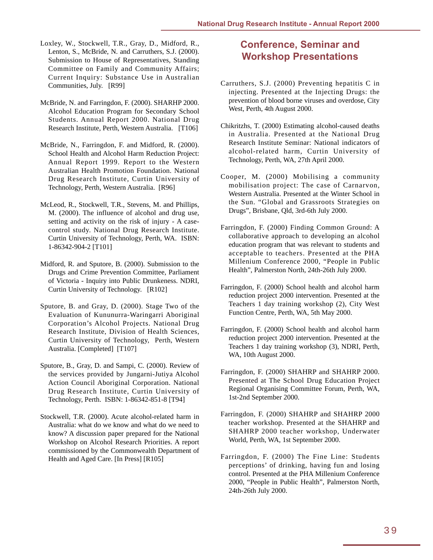- <span id="page-42-0"></span>Loxley, W., Stockwell, T.R., Gray, D., Midford, R., Lenton, S., McBride, N. and Carruthers, S.J. (2000). Submission to House of Representatives, Standing Committee on Family and Community Affairs; Current Inquiry: Substance Use in Australian Communities, July. [R99]
- McBride, N. and Farringdon, F. (2000). SHARHP 2000. Alcohol Education Program for Secondary School Students. Annual Report 2000. National Drug Research Institute, Perth, Western Australia. [T106]
- McBride, N., Farringdon, F. and Midford, R. (2000). School Health and Alcohol Harm Reduction Project: Annual Report 1999. Report to the Western Australian Health Promotion Foundation. National Drug Research Institute, Curtin University of Technology, Perth, Western Australia. [R96]
- McLeod, R., Stockwell, T.R., Stevens, M. and Phillips, M. (2000). The influence of alcohol and drug use, setting and activity on the risk of injury - A casecontrol study. National Drug Research Institute. Curtin University of Technology, Perth, WA. ISBN: 1-86342-904-2 [T101]
- Midford, R. and Sputore, B. (2000). Submission to the Drugs and Crime Prevention Committee, Parliament of Victoria - Inquiry into Public Drunkeness. NDRI, Curtin University of Technology. [R102]
- Sputore, B. and Gray, D. (2000). Stage Two of the Evaluation of Kununurra-Waringarri Aboriginal Corporation's Alcohol Projects. National Drug Research Institute, Division of Health Sciences, Curtin University of Technology, Perth, Western Australia. [Completed] [T107]
- Sputore, B., Gray, D. and Sampi, C. (2000). Review of the services provided by Jungarni-Jutiya Alcohol Action Council Aboriginal Corporation. National Drug Research Institute, Curtin University of Technology, Perth. ISBN: 1-86342-851-8 [T94]
- Stockwell, T.R. (2000). Acute alcohol-related harm in Australia: what do we know and what do we need to know? A discussion paper prepared for the National Workshop on Alcohol Research Priorities. A report commissioned by the Commonwealth Department of Health and Aged Care. [In Press] [R105]

### **Conference, Seminar and Workshop Presentations**

- Carruthers, S.J. (2000) Preventing hepatitis C in injecting. Presented at the Injecting Drugs: the prevention of blood borne viruses and overdose, City West, Perth, 4th August 2000.
- Chikritzhs, T. (2000) Estimating alcohol-caused deaths in Australia. Presented at the National Drug Research Institute Seminar: National indicators of alcohol-related harm, Curtin University of Technology, Perth, WA, 27th April 2000.
- Cooper, M. (2000) Mobilising a community mobilisation project: The case of Carnarvon, Western Australia. Presented at the Winter School in the Sun. "Global and Grassroots Strategies on Drugs", Brisbane, Qld, 3rd-6th July 2000.
- Farringdon, F. (2000) Finding Common Ground: A collaborative approach to developing an alcohol education program that was relevant to students and acceptable to teachers. Presented at the PHA Millenium Conference 2000, "People in Public Health", Palmerston North, 24th-26th July 2000.
- Farringdon, F. (2000) School health and alcohol harm reduction project 2000 intervention. Presented at the Teachers 1 day training workshop (2), City West Function Centre, Perth, WA, 5th May 2000.
- Farringdon, F. (2000) School health and alcohol harm reduction project 2000 intervention. Presented at the Teachers 1 day training workshop (3), NDRI, Perth, WA, 10th August 2000.
- Farringdon, F. (2000) SHAHRP and SHAHRP 2000. Presented at The School Drug Education Project Regional Organising Committee Forum, Perth, WA, 1st-2nd September 2000.
- Farringdon, F. (2000) SHAHRP and SHAHRP 2000 teacher workshop. Presented at the SHAHRP and SHAHRP 2000 teacher workshop, Underwater World, Perth, WA, 1st September 2000.
- Farringdon, F. (2000) The Fine Line: Students perceptions' of drinking, having fun and losing control. Presented at the PHA Millenium Conference 2000, "People in Public Health", Palmerston North, 24th-26th July 2000.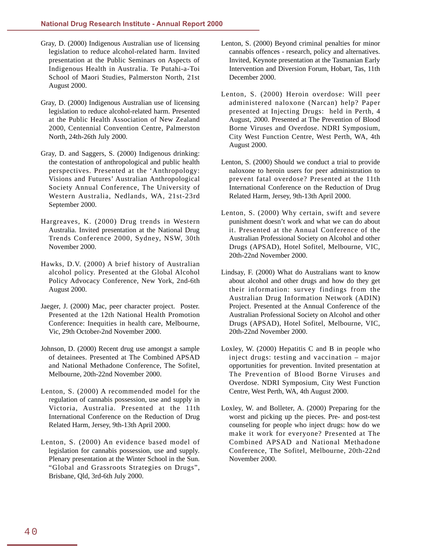- Gray, D. (2000) Indigenous Australian use of licensing legislation to reduce alcohol-related harm. Invited presentation at the Public Seminars on Aspects of Indigenous Health in Australia. Te Putahi-a-Toi School of Maori Studies, Palmerston North, 21st August 2000.
- Gray, D. (2000) Indigenous Australian use of licensing legislation to reduce alcohol-related harm. Presented at the Public Health Association of New Zealand 2000, Centennial Convention Centre, Palmerston North, 24th-26th July 2000.
- Gray, D. and Saggers, S. (2000) Indigenous drinking: the contestation of anthropological and public health perspectives. Presented at the 'Anthropology: Visions and Futures' Australian Anthropological Society Annual Conference, The University of Western Australia, Nedlands, WA, 21st-23rd September 2000.
- Hargreaves, K. (2000) Drug trends in Western Australia. Invited presentation at the National Drug Trends Conference 2000, Sydney, NSW, 30th November 2000.
- Hawks, D.V. (2000) A brief history of Australian alcohol policy. Presented at the Global Alcohol Policy Advocacy Conference, New York, 2nd-6th August 2000.
- Jaeger, J. (2000) Mac, peer character project. Poster. Presented at the 12th National Health Promotion Conference: Inequities in health care, Melbourne, Vic, 29th October-2nd November 2000.
- Johnson, D. (2000) Recent drug use amongst a sample of detainees. Presented at The Combined APSAD and National Methadone Conference, The Sofitel, Melbourne, 20th-22nd November 2000.
- Lenton, S. (2000) A recommended model for the regulation of cannabis possession, use and supply in Victoria, Australia. Presented at the 11th International Conference on the Reduction of Drug Related Harm, Jersey, 9th-13th April 2000.
- Lenton, S. (2000) An evidence based model of legislation for cannabis possession, use and supply. Plenary presentation at the Winter School in the Sun. "Global and Grassroots Strategies on Drugs", Brisbane, Qld, 3rd-6th July 2000.
- Lenton, S. (2000) Beyond criminal penalties for minor cannabis offences - research, policy and alternatives. Invited, Keynote presentation at the Tasmanian Early Intervention and Diversion Forum, Hobart, Tas, 11th December 2000.
- Lenton, S. (2000) Heroin overdose: Will peer administered naloxone (Narcan) help? Paper presented at Injecting Drugs: held in Perth, 4 August, 2000. Presented at The Prevention of Blood Borne Viruses and Overdose. NDRI Symposium, City West Function Centre, West Perth, WA, 4th August 2000.
- Lenton, S. (2000) Should we conduct a trial to provide naloxone to heroin users for peer administration to prevent fatal overdose? Presented at the 11th International Conference on the Reduction of Drug Related Harm, Jersey, 9th-13th April 2000.
- Lenton, S. (2000) Why certain, swift and severe punishment doesn't work and what we can do about it. Presented at the Annual Conference of the Australian Professional Society on Alcohol and other Drugs (APSAD), Hotel Sofitel, Melbourne, VIC, 20th-22nd November 2000.
- Lindsay, F. (2000) What do Australians want to know about alcohol and other drugs and how do they get their information: survey findings from the Australian Drug Information Network (ADIN) Project. Presented at the Annual Conference of the Australian Professional Society on Alcohol and other Drugs (APSAD), Hotel Sofitel, Melbourne, VIC, 20th-22nd November 2000.
- Loxley, W. (2000) Hepatitis C and B in people who inject drugs: testing and vaccination – major opportunities for prevention. Invited presentation at The Prevention of Blood Borne Viruses and Overdose. NDRI Symposium, City West Function Centre, West Perth, WA, 4th August 2000.
- Loxley, W. and Bolleter, A. (2000) Preparing for the worst and picking up the pieces. Pre- and post-test counseling for people who inject drugs: how do we make it work for everyone? Presented at The Combined APSAD and National Methadone Conference, The Sofitel, Melbourne, 20th-22nd November 2000.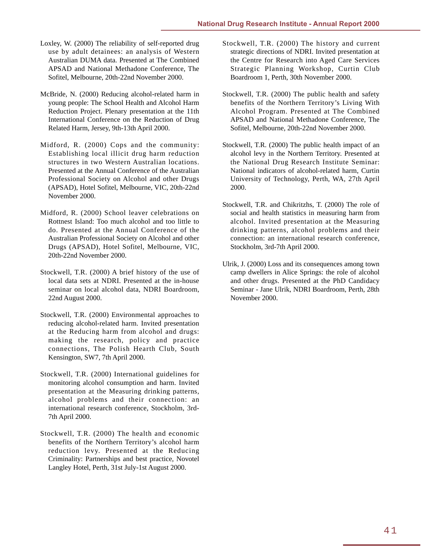- Loxley, W. (2000) The reliability of self-reported drug use by adult detainees: an analysis of Western Australian DUMA data. Presented at The Combined APSAD and National Methadone Conference, The Sofitel, Melbourne, 20th-22nd November 2000.
- McBride, N. (2000) Reducing alcohol-related harm in young people: The School Health and Alcohol Harm Reduction Project. Plenary presentation at the 11th International Conference on the Reduction of Drug Related Harm, Jersey, 9th-13th April 2000.
- Midford, R. (2000) Cops and the community: Establishing local illicit drug harm reduction structures in two Western Australian locations. Presented at the Annual Conference of the Australian Professional Society on Alcohol and other Drugs (APSAD), Hotel Sofitel, Melbourne, VIC, 20th-22nd November 2000.
- Midford, R. (2000) School leaver celebrations on Rottnest Island: Too much alcohol and too little to do. Presented at the Annual Conference of the Australian Professional Society on Alcohol and other Drugs (APSAD), Hotel Sofitel, Melbourne, VIC, 20th-22nd November 2000.
- Stockwell, T.R. (2000) A brief history of the use of local data sets at NDRI. Presented at the in-house seminar on local alcohol data, NDRI Boardroom, 22nd August 2000.
- Stockwell, T.R. (2000) Environmental approaches to reducing alcohol-related harm. Invited presentation at the Reducing harm from alcohol and drugs: making the research, policy and practice connections, The Polish Hearth Club, South Kensington, SW7, 7th April 2000.
- Stockwell, T.R. (2000) International guidelines for monitoring alcohol consumption and harm. Invited presentation at the Measuring drinking patterns, alcohol problems and their connection: an international research conference, Stockholm, 3rd-7th April 2000.
- Stockwell, T.R. (2000) The health and economic benefits of the Northern Territory's alcohol harm reduction levy. Presented at the Reducing Criminality: Partnerships and best practice, Novotel Langley Hotel, Perth, 31st July-1st August 2000.
- Stockwell, T.R. (2000) The history and current strategic directions of NDRI. Invited presentation at the Centre for Research into Aged Care Services Strategic Planning Workshop, Curtin Club Boardroom 1, Perth, 30th November 2000.
- Stockwell, T.R. (2000) The public health and safety benefits of the Northern Territory's Living With Alcohol Program. Presented at The Combined APSAD and National Methadone Conference, The Sofitel, Melbourne, 20th-22nd November 2000.
- Stockwell, T.R. (2000) The public health impact of an alcohol levy in the Northern Territory. Presented at the National Drug Research Institute Seminar: National indicators of alcohol-related harm, Curtin University of Technology, Perth, WA, 27th April 2000.
- Stockwell, T.R. and Chikritzhs, T. (2000) The role of social and health statistics in measuring harm from alcohol. Invited presentation at the Measuring drinking patterns, alcohol problems and their connection: an international research conference, Stockholm, 3rd-7th April 2000.
- Ulrik, J. (2000) Loss and its consequences among town camp dwellers in Alice Springs: the role of alcohol and other drugs. Presented at the PhD Candidacy Seminar - Jane Ulrik, NDRI Boardroom, Perth, 28th November 2000.